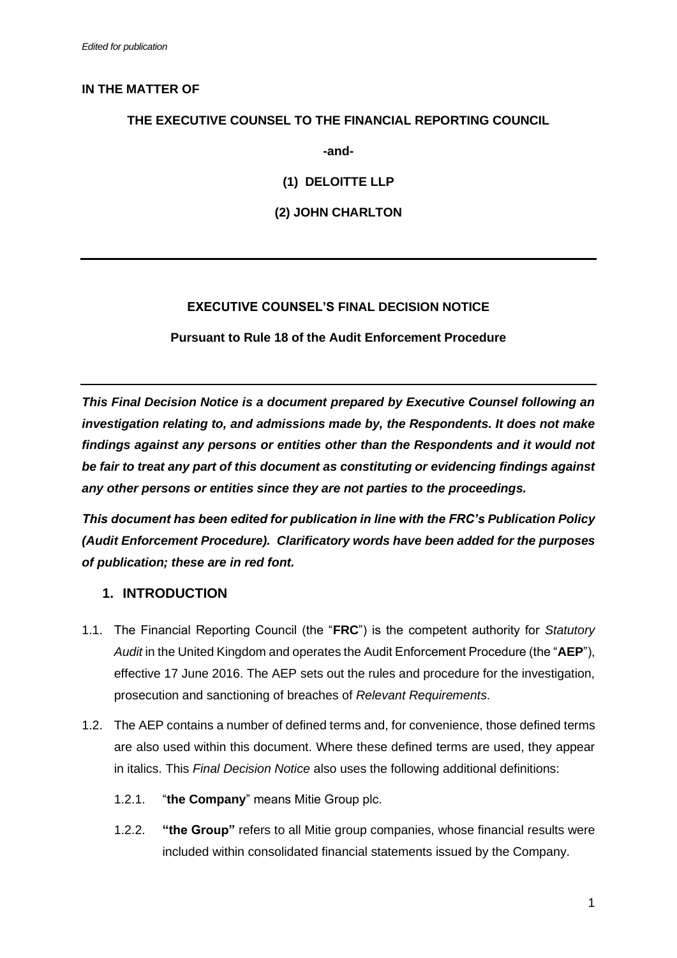### **IN THE MATTER OF**

### **THE EXECUTIVE COUNSEL TO THE FINANCIAL REPORTING COUNCIL**

**-and-**

**(1) DELOITTE LLP**

**(2) JOHN CHARLTON**

## **EXECUTIVE COUNSEL'S FINAL DECISION NOTICE**

**Pursuant to Rule 18 of the Audit Enforcement Procedure**

*This Final Decision Notice is a document prepared by Executive Counsel following an investigation relating to, and admissions made by, the Respondents. It does not make findings against any persons or entities other than the Respondents and it would not be fair to treat any part of this document as constituting or evidencing findings against any other persons or entities since they are not parties to the proceedings.*

*This document has been edited for publication in line with the FRC's Publication Policy (Audit Enforcement Procedure). Clarificatory words have been added for the purposes of publication; these are in red font.*

## **1. INTRODUCTION**

- 1.1. The Financial Reporting Council (the "**FRC**") is the competent authority for *Statutory Audit* in the United Kingdom and operates the Audit Enforcement Procedure (the "**AEP**"), effective 17 June 2016. The AEP sets out the rules and procedure for the investigation, prosecution and sanctioning of breaches of *Relevant Requirements*.
- 1.2. The AEP contains a number of defined terms and, for convenience, those defined terms are also used within this document. Where these defined terms are used, they appear in italics. This *Final Decision Notice* also uses the following additional definitions:
	- 1.2.1. "**the Company**" means Mitie Group plc.
	- 1.2.2. **"the Group"** refers to all Mitie group companies, whose financial results were included within consolidated financial statements issued by the Company.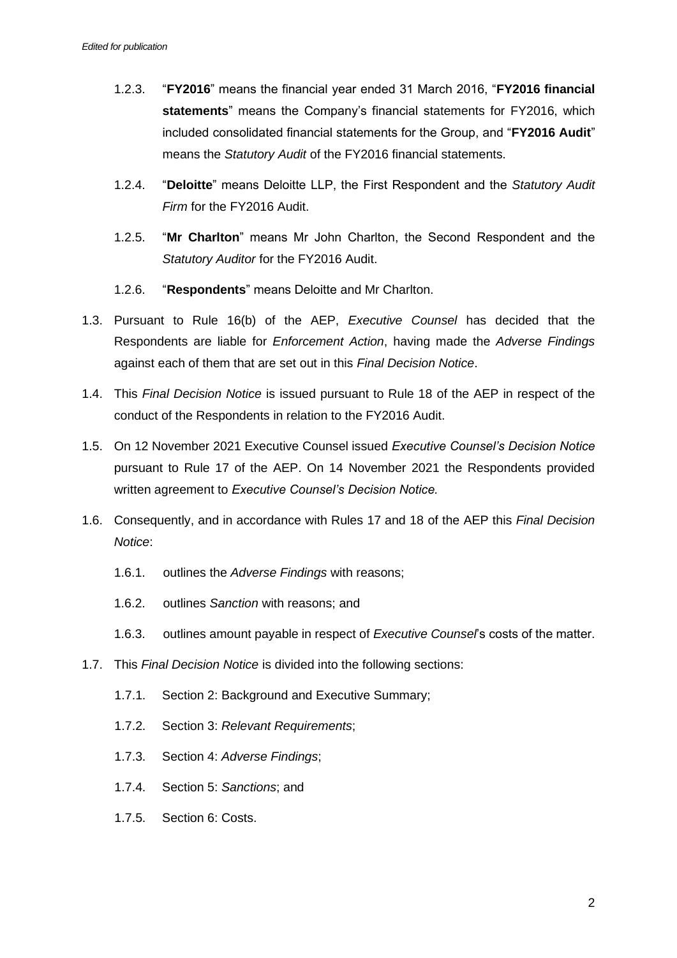- 1.2.3. "**FY2016**" means the financial year ended 31 March 2016, "**FY2016 financial statements**" means the Company's financial statements for FY2016, which included consolidated financial statements for the Group, and "**FY2016 Audit**" means the *Statutory Audit* of the FY2016 financial statements.
- 1.2.4. "**Deloitte**" means Deloitte LLP, the First Respondent and the *Statutory Audit Firm* for the FY2016 Audit.
- 1.2.5. "**Mr Charlton**" means Mr John Charlton, the Second Respondent and the *Statutory Auditor* for the FY2016 Audit.
- 1.2.6. "**Respondents**" means Deloitte and Mr Charlton.
- 1.3. Pursuant to Rule 16(b) of the AEP, *Executive Counsel* has decided that the Respondents are liable for *Enforcement Action*, having made the *Adverse Findings* against each of them that are set out in this *Final Decision Notice*.
- 1.4. This *Final Decision Notice* is issued pursuant to Rule 18 of the AEP in respect of the conduct of the Respondents in relation to the FY2016 Audit.
- 1.5. On 12 November 2021 Executive Counsel issued *Executive Counsel's Decision Notice* pursuant to Rule 17 of the AEP. On 14 November 2021 the Respondents provided written agreement to *Executive Counsel's Decision Notice.*
- 1.6. Consequently, and in accordance with Rules 17 and 18 of the AEP this *Final Decision Notice*:
	- 1.6.1. outlines the *Adverse Findings* with reasons;
	- 1.6.2. outlines *Sanction* with reasons; and
	- 1.6.3. outlines amount payable in respect of *Executive Counsel*'s costs of the matter.
- 1.7. This *Final Decision Notice* is divided into the following sections:
	- 1.7.1. Section 2: Background and Executive Summary;
	- 1.7.2. Section 3: *Relevant Requirements*;
	- 1.7.3. Section 4: *Adverse Findings*;
	- 1.7.4. Section 5: *Sanctions*; and
	- 1.7.5. Section 6: Costs.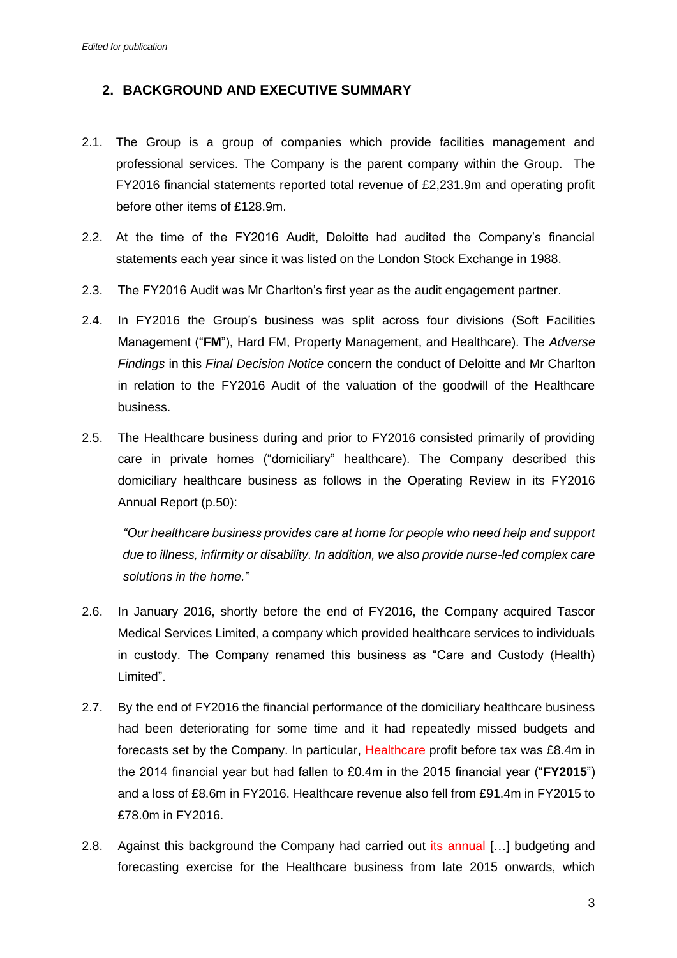# **2. BACKGROUND AND EXECUTIVE SUMMARY**

- 2.1. The Group is a group of companies which provide facilities management and professional services. The Company is the parent company within the Group. The FY2016 financial statements reported total revenue of £2,231.9m and operating profit before other items of £128.9m.
- 2.2. At the time of the FY2016 Audit, Deloitte had audited the Company's financial statements each year since it was listed on the London Stock Exchange in 1988.
- 2.3. The FY2016 Audit was Mr Charlton's first year as the audit engagement partner.
- 2.4. In FY2016 the Group's business was split across four divisions (Soft Facilities Management ("**FM**"), Hard FM, Property Management, and Healthcare). The *Adverse Findings* in this *Final Decision Notice* concern the conduct of Deloitte and Mr Charlton in relation to the FY2016 Audit of the valuation of the goodwill of the Healthcare business.
- 2.5. The Healthcare business during and prior to FY2016 consisted primarily of providing care in private homes ("domiciliary" healthcare). The Company described this domiciliary healthcare business as follows in the Operating Review in its FY2016 Annual Report (p.50):

*"Our healthcare business provides care at home for people who need help and support due to illness, infirmity or disability. In addition, we also provide nurse-led complex care solutions in the home."*

- 2.6. In January 2016, shortly before the end of FY2016, the Company acquired Tascor Medical Services Limited, a company which provided healthcare services to individuals in custody. The Company renamed this business as "Care and Custody (Health) Limited".
- 2.7. By the end of FY2016 the financial performance of the domiciliary healthcare business had been deteriorating for some time and it had repeatedly missed budgets and forecasts set by the Company. In particular, Healthcare profit before tax was £8.4m in the 2014 financial year but had fallen to £0.4m in the 2015 financial year ("**FY2015**") and a loss of £8.6m in FY2016. Healthcare revenue also fell from £91.4m in FY2015 to £78.0m in FY2016.
- 2.8. Against this background the Company had carried out its annual […] budgeting and forecasting exercise for the Healthcare business from late 2015 onwards, which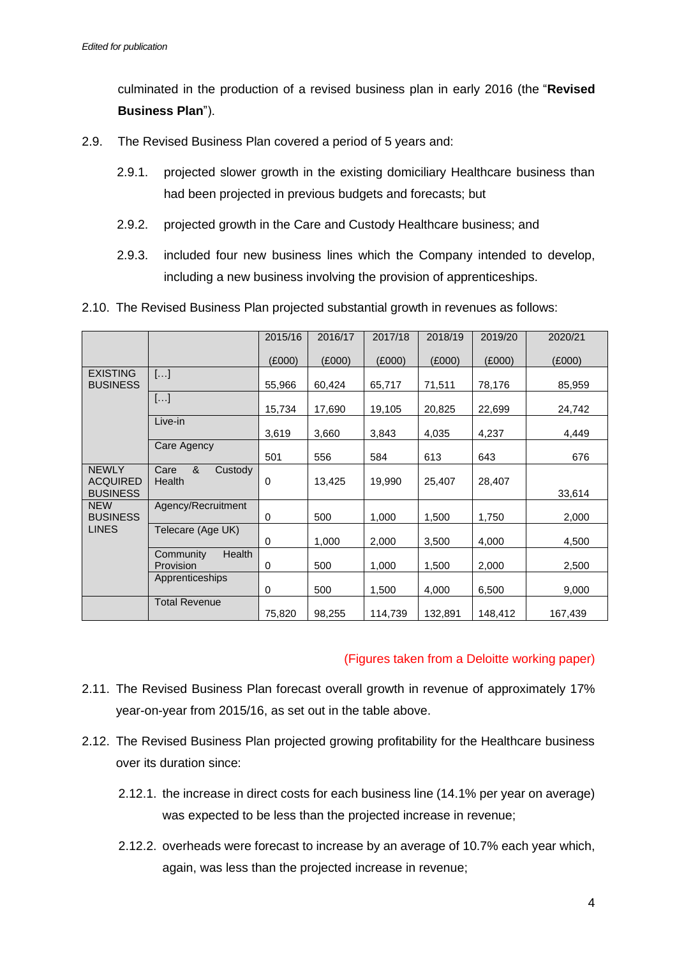culminated in the production of a revised business plan in early 2016 (the "**Revised Business Plan**").

- 2.9. The Revised Business Plan covered a period of 5 years and:
	- 2.9.1. projected slower growth in the existing domiciliary Healthcare business than had been projected in previous budgets and forecasts; but
	- 2.9.2. projected growth in the Care and Custody Healthcare business; and
	- 2.9.3. included four new business lines which the Company intended to develop, including a new business involving the provision of apprenticeships.

| 2.10. The Revised Business Plan projected substantial growth in revenues as follows: |  |  |  |
|--------------------------------------------------------------------------------------|--|--|--|
|                                                                                      |  |  |  |

|                                                    |                                         | 2015/16 | 2016/17 | 2017/18 | 2018/19 | 2019/20 | 2020/21 |
|----------------------------------------------------|-----------------------------------------|---------|---------|---------|---------|---------|---------|
|                                                    |                                         | (E000)  | (E000)  | (E000)  | (E000)  | (E000)  | (E000)  |
| <b>EXISTING</b><br><b>BUSINESS</b>                 | []                                      | 55,966  | 60,424  | 65,717  | 71,511  | 78,176  | 85,959  |
|                                                    | []                                      | 15,734  | 17,690  | 19,105  | 20,825  | 22,699  | 24,742  |
|                                                    | Live-in                                 | 3,619   | 3,660   | 3,843   | 4,035   | 4,237   | 4,449   |
|                                                    | Care Agency                             | 501     | 556     | 584     | 613     | 643     | 676     |
| <b>NEWLY</b><br><b>ACQUIRED</b><br><b>BUSINESS</b> | &<br>Care<br>Custody<br><b>Health</b>   | 0       | 13,425  | 19,990  | 25,407  | 28,407  | 33,614  |
| <b>NEW</b><br><b>BUSINESS</b>                      | Agency/Recruitment                      | 0       | 500     | 1,000   | 1,500   | 1,750   | 2,000   |
| <b>LINES</b>                                       | Telecare (Age UK)                       | 0       | 1,000   | 2,000   | 3,500   | 4,000   | 4,500   |
|                                                    | <b>Health</b><br>Community<br>Provision | 0       | 500     | 1,000   | 1,500   | 2,000   | 2,500   |
|                                                    | Apprenticeships                         | 0       | 500     | 1,500   | 4,000   | 6,500   | 9,000   |
|                                                    | <b>Total Revenue</b>                    | 75,820  | 98,255  | 114,739 | 132,891 | 148,412 | 167,439 |

### (Figures taken from a Deloitte working paper)

- 2.11. The Revised Business Plan forecast overall growth in revenue of approximately 17% year-on-year from 2015/16, as set out in the table above.
- 2.12. The Revised Business Plan projected growing profitability for the Healthcare business over its duration since:
	- 2.12.1. the increase in direct costs for each business line (14.1% per year on average) was expected to be less than the projected increase in revenue;
	- 2.12.2. overheads were forecast to increase by an average of 10.7% each year which, again, was less than the projected increase in revenue;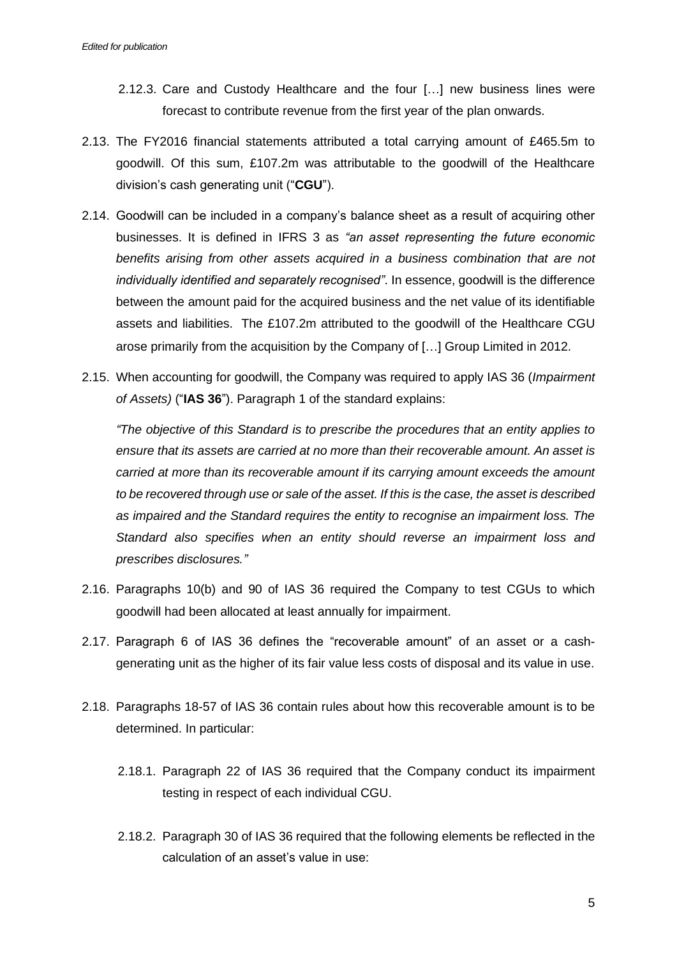- 2.12.3. Care and Custody Healthcare and the four […] new business lines were forecast to contribute revenue from the first year of the plan onwards.
- 2.13. The FY2016 financial statements attributed a total carrying amount of £465.5m to goodwill. Of this sum, £107.2m was attributable to the goodwill of the Healthcare division's cash generating unit ("**CGU**").
- 2.14. Goodwill can be included in a company's balance sheet as a result of acquiring other businesses. It is defined in IFRS 3 as *"an asset representing the future economic benefits arising from other assets acquired in a business combination that are not individually identified and separately recognised"*. In essence, goodwill is the difference between the amount paid for the acquired business and the net value of its identifiable assets and liabilities. The £107.2m attributed to the goodwill of the Healthcare CGU arose primarily from the acquisition by the Company of […] Group Limited in 2012.
- 2.15. When accounting for goodwill, the Company was required to apply IAS 36 (*Impairment of Assets)* ("**IAS 36**"). Paragraph 1 of the standard explains:

*"The objective of this Standard is to prescribe the procedures that an entity applies to ensure that its assets are carried at no more than their recoverable amount. An asset is carried at more than its recoverable amount if its carrying amount exceeds the amount to be recovered through use or sale of the asset. If this is the case, the asset is described as impaired and the Standard requires the entity to recognise an impairment loss. The Standard also specifies when an entity should reverse an impairment loss and prescribes disclosures."*

- 2.16. Paragraphs 10(b) and 90 of IAS 36 required the Company to test CGUs to which goodwill had been allocated at least annually for impairment.
- 2.17. Paragraph 6 of IAS 36 defines the "recoverable amount" of an asset or a cashgenerating unit as the higher of its fair value less costs of disposal and its value in use.
- 2.18. Paragraphs 18-57 of IAS 36 contain rules about how this recoverable amount is to be determined. In particular:
	- 2.18.1. Paragraph 22 of IAS 36 required that the Company conduct its impairment testing in respect of each individual CGU.
	- 2.18.2. Paragraph 30 of IAS 36 required that the following elements be reflected in the calculation of an asset's value in use: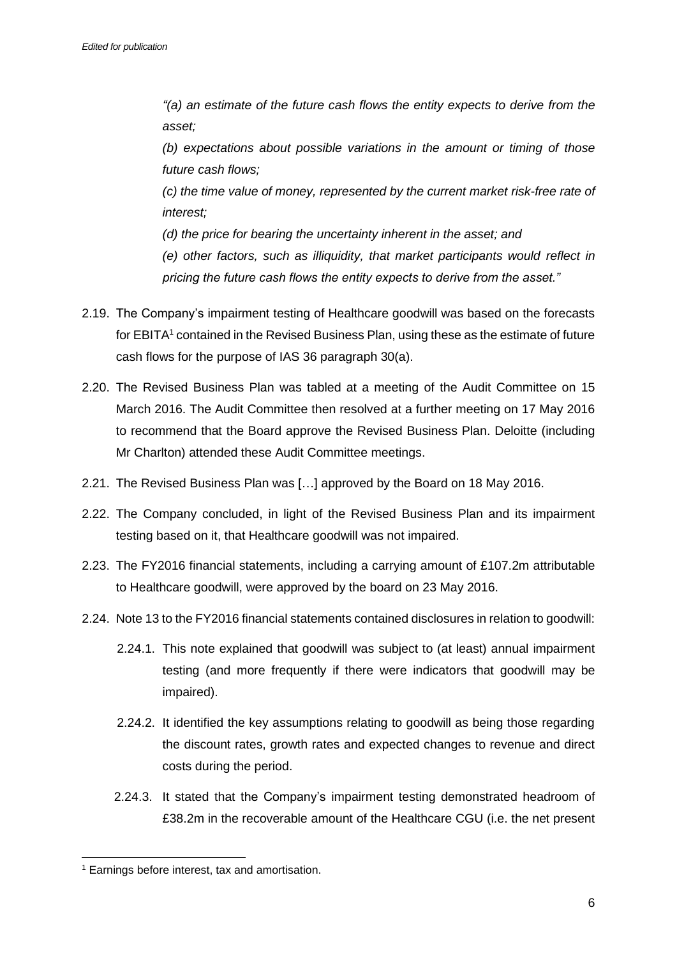*"(a) an estimate of the future cash flows the entity expects to derive from the asset;*

*(b) expectations about possible variations in the amount or timing of those future cash flows;*

*(c) the time value of money, represented by the current market risk-free rate of interest;*

*(d) the price for bearing the uncertainty inherent in the asset; and*

*(e) other factors, such as illiquidity, that market participants would reflect in pricing the future cash flows the entity expects to derive from the asset."*

- 2.19. The Company's impairment testing of Healthcare goodwill was based on the forecasts for EBITA<sup>1</sup> contained in the Revised Business Plan, using these as the estimate of future cash flows for the purpose of IAS 36 paragraph 30(a).
- 2.20. The Revised Business Plan was tabled at a meeting of the Audit Committee on 15 March 2016. The Audit Committee then resolved at a further meeting on 17 May 2016 to recommend that the Board approve the Revised Business Plan. Deloitte (including Mr Charlton) attended these Audit Committee meetings.
- 2.21. The Revised Business Plan was […] approved by the Board on 18 May 2016.
- 2.22. The Company concluded, in light of the Revised Business Plan and its impairment testing based on it, that Healthcare goodwill was not impaired.
- 2.23. The FY2016 financial statements, including a carrying amount of £107.2m attributable to Healthcare goodwill, were approved by the board on 23 May 2016.
- 2.24. Note 13 to the FY2016 financial statements contained disclosures in relation to goodwill:
	- 2.24.1. This note explained that goodwill was subject to (at least) annual impairment testing (and more frequently if there were indicators that goodwill may be impaired).
	- 2.24.2. It identified the key assumptions relating to goodwill as being those regarding the discount rates, growth rates and expected changes to revenue and direct costs during the period.
	- 2.24.3. It stated that the Company's impairment testing demonstrated headroom of £38.2m in the recoverable amount of the Healthcare CGU (i.e. the net present

<sup>1</sup> Earnings before interest, tax and amortisation.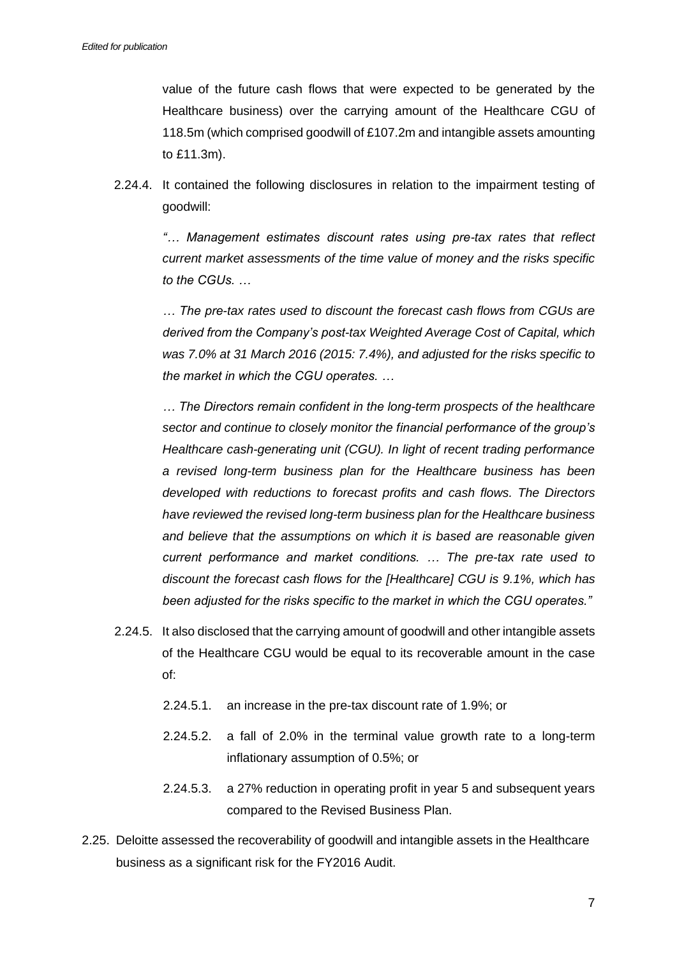value of the future cash flows that were expected to be generated by the Healthcare business) over the carrying amount of the Healthcare CGU of 118.5m (which comprised goodwill of £107.2m and intangible assets amounting to £11.3m).

2.24.4. It contained the following disclosures in relation to the impairment testing of goodwill:

*"… Management estimates discount rates using pre-tax rates that reflect current market assessments of the time value of money and the risks specific to the CGUs. …*

*… The pre-tax rates used to discount the forecast cash flows from CGUs are derived from the Company's post-tax Weighted Average Cost of Capital, which was 7.0% at 31 March 2016 (2015: 7.4%), and adjusted for the risks specific to the market in which the CGU operates. …*

*… The Directors remain confident in the long-term prospects of the healthcare sector and continue to closely monitor the financial performance of the group's Healthcare cash-generating unit (CGU). In light of recent trading performance a revised long-term business plan for the Healthcare business has been developed with reductions to forecast profits and cash flows. The Directors have reviewed the revised long-term business plan for the Healthcare business and believe that the assumptions on which it is based are reasonable given current performance and market conditions. … The pre-tax rate used to discount the forecast cash flows for the [Healthcare] CGU is 9.1%, which has been adjusted for the risks specific to the market in which the CGU operates."*

- 2.24.5. It also disclosed that the carrying amount of goodwill and other intangible assets of the Healthcare CGU would be equal to its recoverable amount in the case of:
	- 2.24.5.1. an increase in the pre-tax discount rate of 1.9%; or
	- 2.24.5.2. a fall of 2.0% in the terminal value growth rate to a long-term inflationary assumption of 0.5%; or
	- 2.24.5.3. a 27% reduction in operating profit in year 5 and subsequent years compared to the Revised Business Plan.
- 2.25. Deloitte assessed the recoverability of goodwill and intangible assets in the Healthcare business as a significant risk for the FY2016 Audit.

7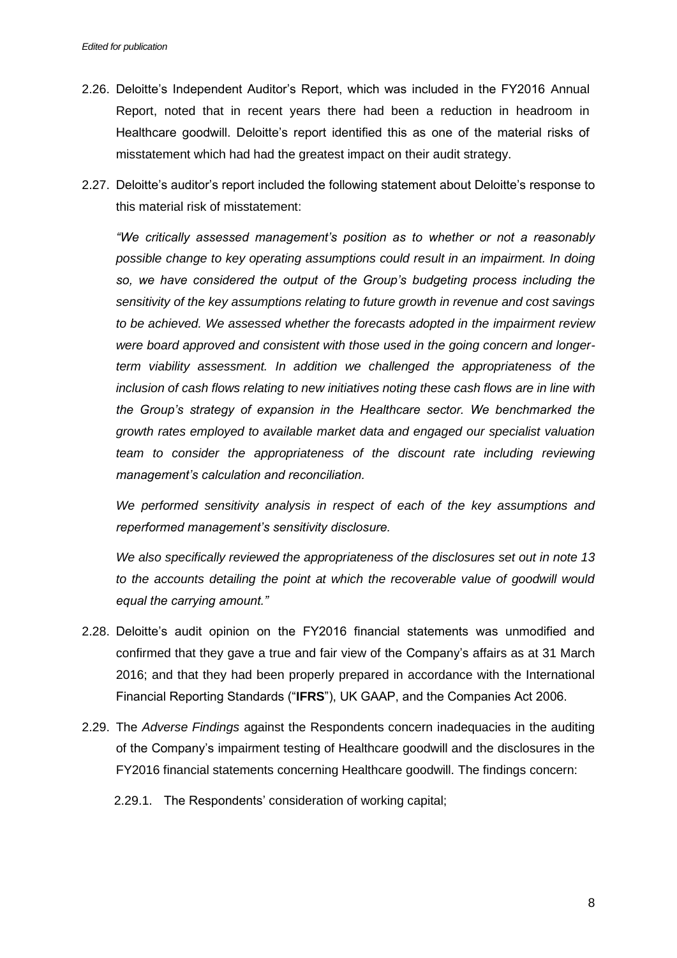- 2.26. Deloitte's Independent Auditor's Report, which was included in the FY2016 Annual Report, noted that in recent years there had been a reduction in headroom in Healthcare goodwill. Deloitte's report identified this as one of the material risks of misstatement which had had the greatest impact on their audit strategy.
- 2.27. Deloitte's auditor's report included the following statement about Deloitte's response to this material risk of misstatement:

*"We critically assessed management's position as to whether or not a reasonably possible change to key operating assumptions could result in an impairment. In doing so, we have considered the output of the Group's budgeting process including the sensitivity of the key assumptions relating to future growth in revenue and cost savings to be achieved. We assessed whether the forecasts adopted in the impairment review were board approved and consistent with those used in the going concern and longerterm viability assessment. In addition we challenged the appropriateness of the inclusion of cash flows relating to new initiatives noting these cash flows are in line with the Group's strategy of expansion in the Healthcare sector. We benchmarked the growth rates employed to available market data and engaged our specialist valuation team to consider the appropriateness of the discount rate including reviewing management's calculation and reconciliation.* 

*We performed sensitivity analysis in respect of each of the key assumptions and reperformed management's sensitivity disclosure.* 

*We also specifically reviewed the appropriateness of the disclosures set out in note 13*  to the accounts detailing the point at which the recoverable value of goodwill would *equal the carrying amount."*

- 2.28. Deloitte's audit opinion on the FY2016 financial statements was unmodified and confirmed that they gave a true and fair view of the Company's affairs as at 31 March 2016; and that they had been properly prepared in accordance with the International Financial Reporting Standards ("**IFRS**"), UK GAAP, and the Companies Act 2006.
- 2.29. The *Adverse Findings* against the Respondents concern inadequacies in the auditing of the Company's impairment testing of Healthcare goodwill and the disclosures in the FY2016 financial statements concerning Healthcare goodwill. The findings concern:
	- 2.29.1. The Respondents' consideration of working capital;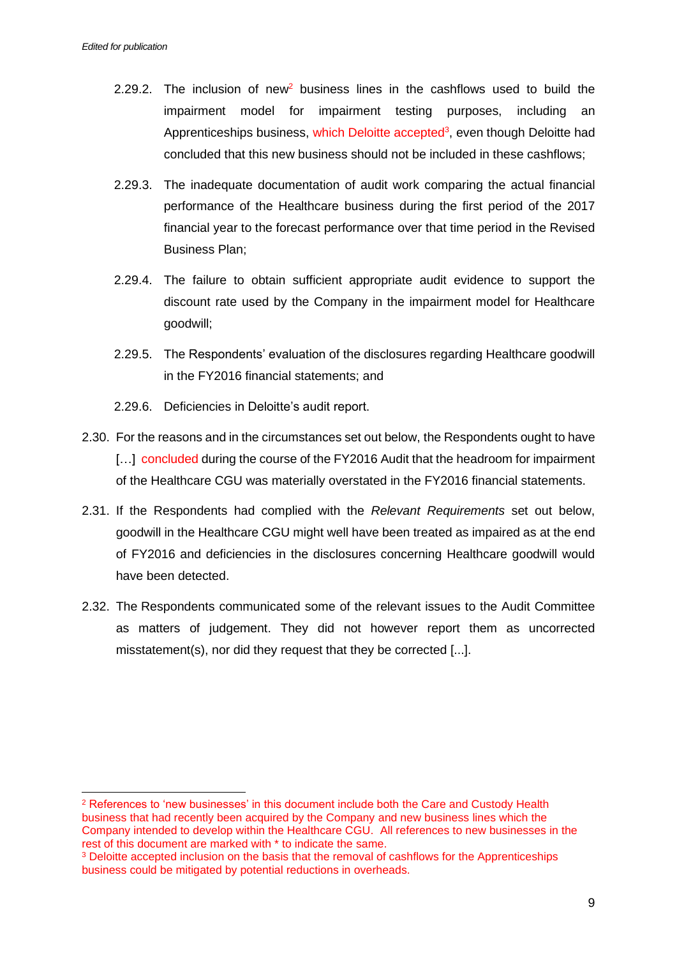- 2.29.2. The inclusion of new<sup>2</sup> business lines in the cashflows used to build the impairment model for impairment testing purposes, including an Apprenticeships business, which Deloitte accepted<sup>3</sup>, even though Deloitte had concluded that this new business should not be included in these cashflows;
- 2.29.3. The inadequate documentation of audit work comparing the actual financial performance of the Healthcare business during the first period of the 2017 financial year to the forecast performance over that time period in the Revised Business Plan;
- 2.29.4. The failure to obtain sufficient appropriate audit evidence to support the discount rate used by the Company in the impairment model for Healthcare goodwill;
- 2.29.5. The Respondents' evaluation of the disclosures regarding Healthcare goodwill in the FY2016 financial statements; and
- 2.29.6. Deficiencies in Deloitte's audit report.
- 2.30. For the reasons and in the circumstances set out below, the Respondents ought to have [...] concluded during the course of the FY2016 Audit that the headroom for impairment of the Healthcare CGU was materially overstated in the FY2016 financial statements.
- 2.31. If the Respondents had complied with the *Relevant Requirements* set out below, goodwill in the Healthcare CGU might well have been treated as impaired as at the end of FY2016 and deficiencies in the disclosures concerning Healthcare goodwill would have been detected.
- 2.32. The Respondents communicated some of the relevant issues to the Audit Committee as matters of judgement. They did not however report them as uncorrected misstatement(s), nor did they request that they be corrected [...].

<sup>2</sup> References to 'new businesses' in this document include both the Care and Custody Health business that had recently been acquired by the Company and new business lines which the Company intended to develop within the Healthcare CGU. All references to new businesses in the rest of this document are marked with \* to indicate the same.

<sup>&</sup>lt;sup>3</sup> Deloitte accepted inclusion on the basis that the removal of cashflows for the Apprenticeships business could be mitigated by potential reductions in overheads.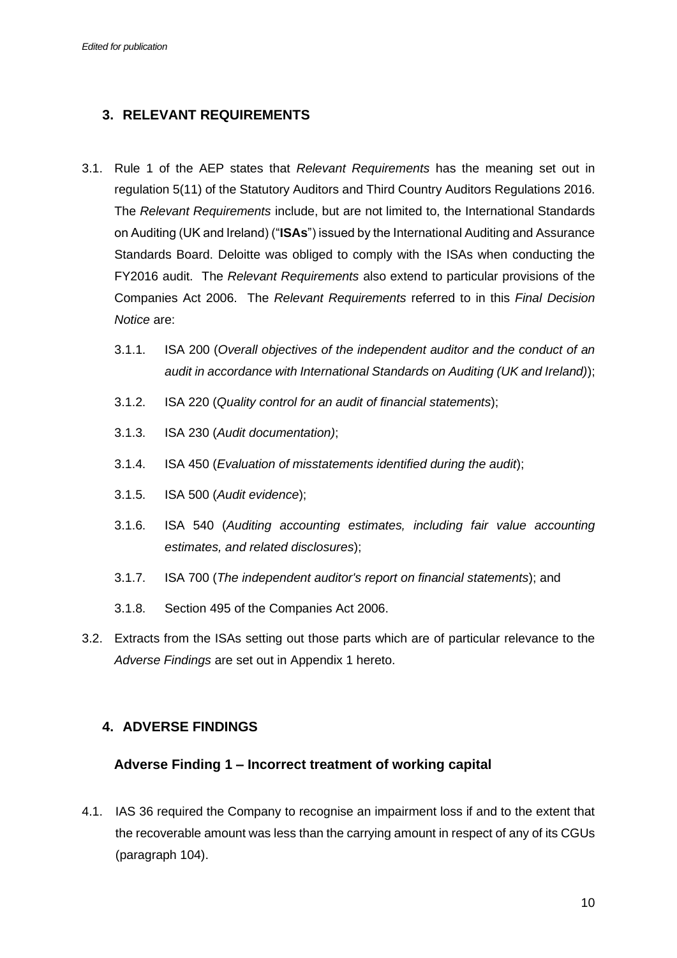# **3. RELEVANT REQUIREMENTS**

- 3.1. Rule 1 of the AEP states that *Relevant Requirements* has the meaning set out in regulation 5(11) of the Statutory Auditors and Third Country Auditors Regulations 2016. The *Relevant Requirements* include, but are not limited to, the International Standards on Auditing (UK and Ireland) ("**ISAs**") issued by the International Auditing and Assurance Standards Board. Deloitte was obliged to comply with the ISAs when conducting the FY2016 audit. The *Relevant Requirements* also extend to particular provisions of the Companies Act 2006. The *Relevant Requirements* referred to in this *Final Decision Notice* are:
	- 3.1.1. ISA 200 (*Overall objectives of the independent auditor and the conduct of an audit in accordance with International Standards on Auditing (UK and Ireland)*);
	- 3.1.2. ISA 220 (*Quality control for an audit of financial statements*);
	- 3.1.3. ISA 230 (*Audit documentation)*;
	- 3.1.4. ISA 450 (*Evaluation of misstatements identified during the audit*);
	- 3.1.5. ISA 500 (*Audit evidence*);
	- 3.1.6. ISA 540 (*Auditing accounting estimates, including fair value accounting estimates, and related disclosures*);
	- 3.1.7. ISA 700 (*The independent auditor's report on financial statements*); and
	- 3.1.8. Section 495 of the Companies Act 2006.
- 3.2. Extracts from the ISAs setting out those parts which are of particular relevance to the *Adverse Findings* are set out in Appendix 1 hereto.

# **4. ADVERSE FINDINGS**

## **Adverse Finding 1 – Incorrect treatment of working capital**

4.1. IAS 36 required the Company to recognise an impairment loss if and to the extent that the recoverable amount was less than the carrying amount in respect of any of its CGUs (paragraph 104).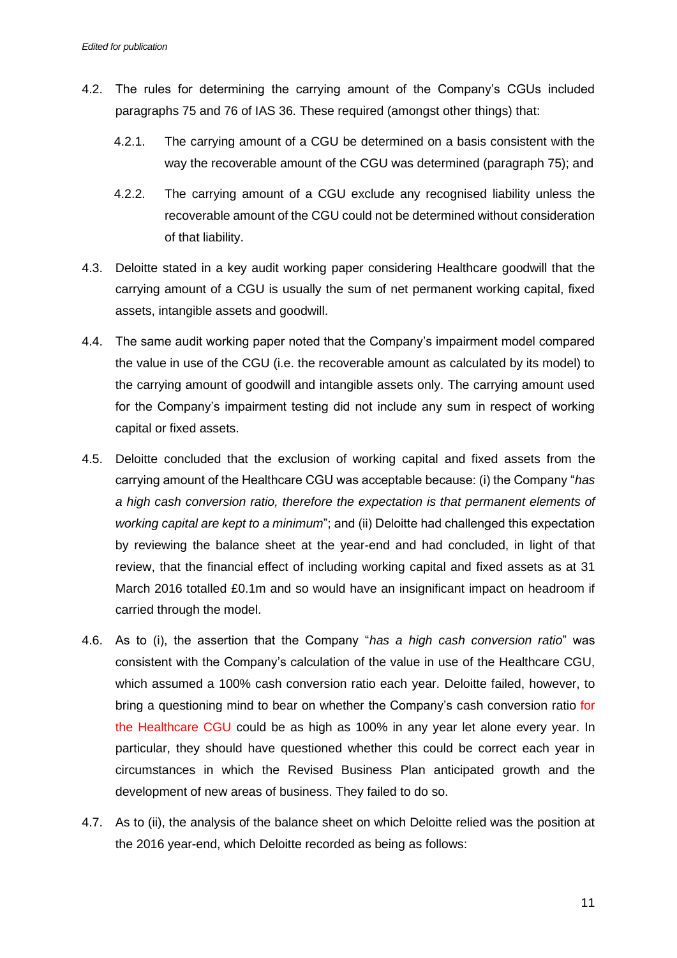- 4.2. The rules for determining the carrying amount of the Company's CGUs included paragraphs 75 and 76 of IAS 36. These required (amongst other things) that:
	- 4.2.1. The carrying amount of a CGU be determined on a basis consistent with the way the recoverable amount of the CGU was determined (paragraph 75); and
	- 4.2.2. The carrying amount of a CGU exclude any recognised liability unless the recoverable amount of the CGU could not be determined without consideration of that liability.
- 4.3. Deloitte stated in a key audit working paper considering Healthcare goodwill that the carrying amount of a CGU is usually the sum of net permanent working capital, fixed assets, intangible assets and goodwill.
- 4.4. The same audit working paper noted that the Company's impairment model compared the value in use of the CGU (i.e. the recoverable amount as calculated by its model) to the carrying amount of goodwill and intangible assets only. The carrying amount used for the Company's impairment testing did not include any sum in respect of working capital or fixed assets.
- 4.5. Deloitte concluded that the exclusion of working capital and fixed assets from the carrying amount of the Healthcare CGU was acceptable because: (i) the Company "*has a high cash conversion ratio, therefore the expectation is that permanent elements of working capital are kept to a minimum*"; and (ii) Deloitte had challenged this expectation by reviewing the balance sheet at the year-end and had concluded, in light of that review, that the financial effect of including working capital and fixed assets as at 31 March 2016 totalled £0.1m and so would have an insignificant impact on headroom if carried through the model.
- 4.6. As to (i), the assertion that the Company "*has a high cash conversion ratio*" was consistent with the Company's calculation of the value in use of the Healthcare CGU, which assumed a 100% cash conversion ratio each year. Deloitte failed, however, to bring a questioning mind to bear on whether the Company's cash conversion ratio for the Healthcare CGU could be as high as 100% in any year let alone every year. In particular, they should have questioned whether this could be correct each year in circumstances in which the Revised Business Plan anticipated growth and the development of new areas of business. They failed to do so.
- 4.7. As to (ii), the analysis of the balance sheet on which Deloitte relied was the position at the 2016 year-end, which Deloitte recorded as being as follows: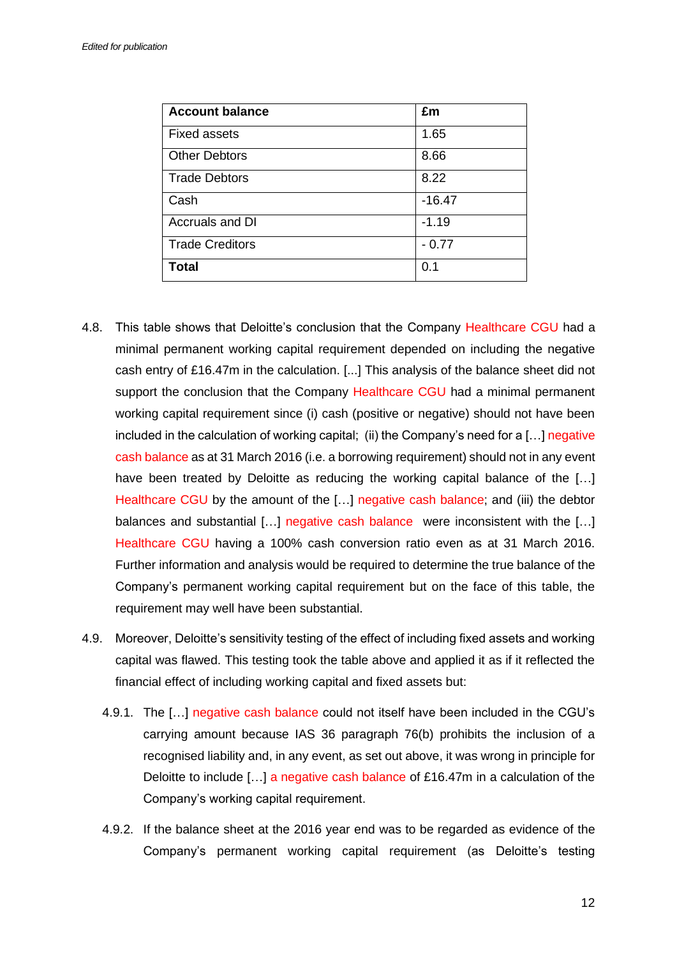| <b>Account balance</b> | £m       |
|------------------------|----------|
| <b>Fixed assets</b>    | 1.65     |
| <b>Other Debtors</b>   | 8.66     |
| <b>Trade Debtors</b>   | 8.22     |
| Cash                   | $-16.47$ |
| Accruals and DI        | $-1.19$  |
| <b>Trade Creditors</b> | $-0.77$  |
| <b>Total</b>           | 0.1      |

- 4.8. This table shows that Deloitte's conclusion that the Company Healthcare CGU had a minimal permanent working capital requirement depended on including the negative cash entry of £16.47m in the calculation. [...] This analysis of the balance sheet did not support the conclusion that the Company Healthcare CGU had a minimal permanent working capital requirement since (i) cash (positive or negative) should not have been included in the calculation of working capital; (ii) the Company's need for a [...] negative cash balance as at 31 March 2016 (i.e. a borrowing requirement) should not in any event have been treated by Deloitte as reducing the working capital balance of the [...] Healthcare CGU by the amount of the [...] negative cash balance; and (iii) the debtor balances and substantial [...] negative cash balance were inconsistent with the [...] Healthcare CGU having a 100% cash conversion ratio even as at 31 March 2016. Further information and analysis would be required to determine the true balance of the Company's permanent working capital requirement but on the face of this table, the requirement may well have been substantial.
- 4.9. Moreover, Deloitte's sensitivity testing of the effect of including fixed assets and working capital was flawed. This testing took the table above and applied it as if it reflected the financial effect of including working capital and fixed assets but:
	- 4.9.1. The […] negative cash balance could not itself have been included in the CGU's carrying amount because IAS 36 paragraph 76(b) prohibits the inclusion of a recognised liability and, in any event, as set out above, it was wrong in principle for Deloitte to include [...] a negative cash balance of £16.47m in a calculation of the Company's working capital requirement.
	- 4.9.2. If the balance sheet at the 2016 year end was to be regarded as evidence of the Company's permanent working capital requirement (as Deloitte's testing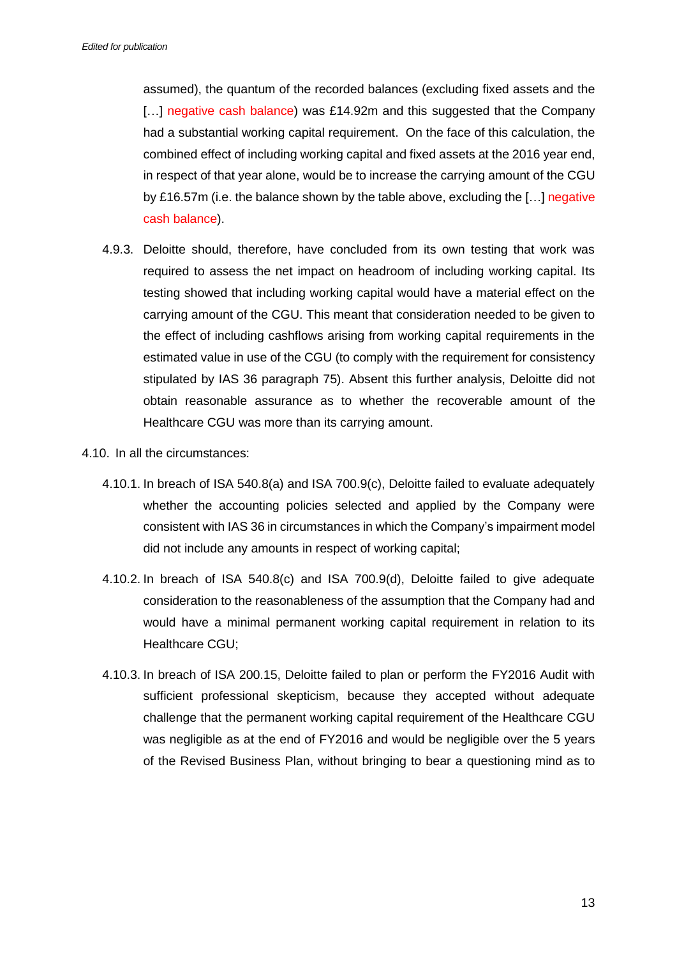assumed), the quantum of the recorded balances (excluding fixed assets and the [...] negative cash balance) was £14.92m and this suggested that the Company had a substantial working capital requirement. On the face of this calculation, the combined effect of including working capital and fixed assets at the 2016 year end, in respect of that year alone, would be to increase the carrying amount of the CGU by £16.57m (i.e. the balance shown by the table above, excluding the […] negative cash balance).

- 4.9.3. Deloitte should, therefore, have concluded from its own testing that work was required to assess the net impact on headroom of including working capital. Its testing showed that including working capital would have a material effect on the carrying amount of the CGU. This meant that consideration needed to be given to the effect of including cashflows arising from working capital requirements in the estimated value in use of the CGU (to comply with the requirement for consistency stipulated by IAS 36 paragraph 75). Absent this further analysis, Deloitte did not obtain reasonable assurance as to whether the recoverable amount of the Healthcare CGU was more than its carrying amount.
- 4.10. In all the circumstances:
	- 4.10.1. In breach of ISA 540.8(a) and ISA 700.9(c), Deloitte failed to evaluate adequately whether the accounting policies selected and applied by the Company were consistent with IAS 36 in circumstances in which the Company's impairment model did not include any amounts in respect of working capital;
	- 4.10.2. In breach of ISA 540.8(c) and ISA 700.9(d), Deloitte failed to give adequate consideration to the reasonableness of the assumption that the Company had and would have a minimal permanent working capital requirement in relation to its Healthcare CGU;
	- 4.10.3. In breach of ISA 200.15, Deloitte failed to plan or perform the FY2016 Audit with sufficient professional skepticism, because they accepted without adequate challenge that the permanent working capital requirement of the Healthcare CGU was negligible as at the end of FY2016 and would be negligible over the 5 years of the Revised Business Plan, without bringing to bear a questioning mind as to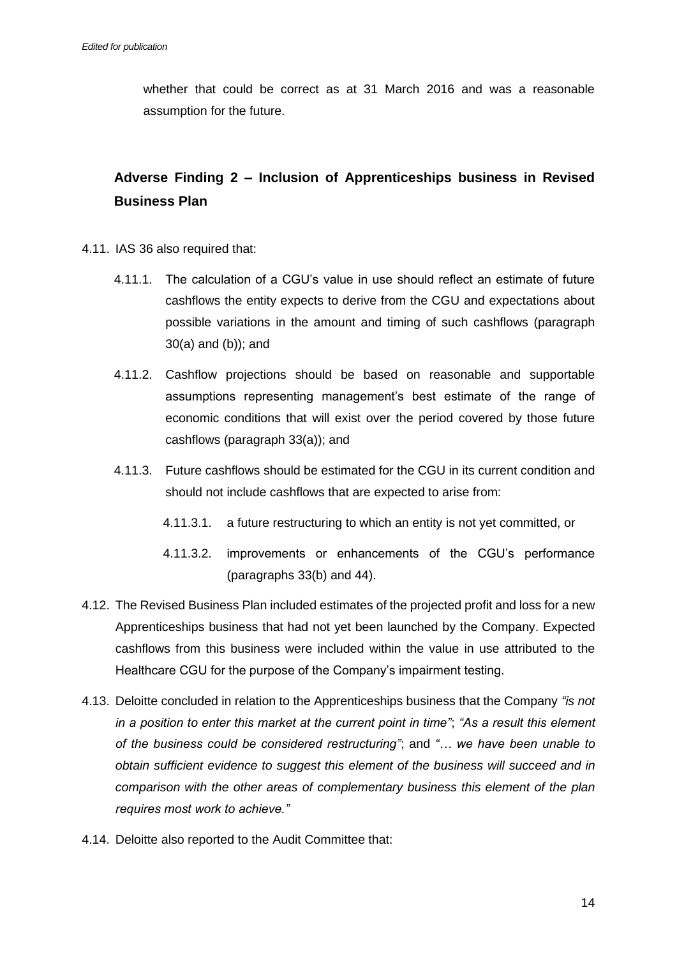whether that could be correct as at 31 March 2016 and was a reasonable assumption for the future.

# **Adverse Finding 2 – Inclusion of Apprenticeships business in Revised Business Plan**

- 4.11. IAS 36 also required that:
	- 4.11.1. The calculation of a CGU's value in use should reflect an estimate of future cashflows the entity expects to derive from the CGU and expectations about possible variations in the amount and timing of such cashflows (paragraph 30(a) and (b)); and
	- 4.11.2. Cashflow projections should be based on reasonable and supportable assumptions representing management's best estimate of the range of economic conditions that will exist over the period covered by those future cashflows (paragraph 33(a)); and
	- 4.11.3. Future cashflows should be estimated for the CGU in its current condition and should not include cashflows that are expected to arise from:
		- 4.11.3.1. a future restructuring to which an entity is not yet committed, or
		- 4.11.3.2. improvements or enhancements of the CGU's performance (paragraphs 33(b) and 44).
- 4.12. The Revised Business Plan included estimates of the projected profit and loss for a new Apprenticeships business that had not yet been launched by the Company. Expected cashflows from this business were included within the value in use attributed to the Healthcare CGU for the purpose of the Company's impairment testing.
- 4.13. Deloitte concluded in relation to the Apprenticeships business that the Company *"is not in a position to enter this market at the current point in time"*; *"As a result this element of the business could be considered restructuring"*; and *"… we have been unable to obtain sufficient evidence to suggest this element of the business will succeed and in comparison with the other areas of complementary business this element of the plan requires most work to achieve."*
- 4.14. Deloitte also reported to the Audit Committee that: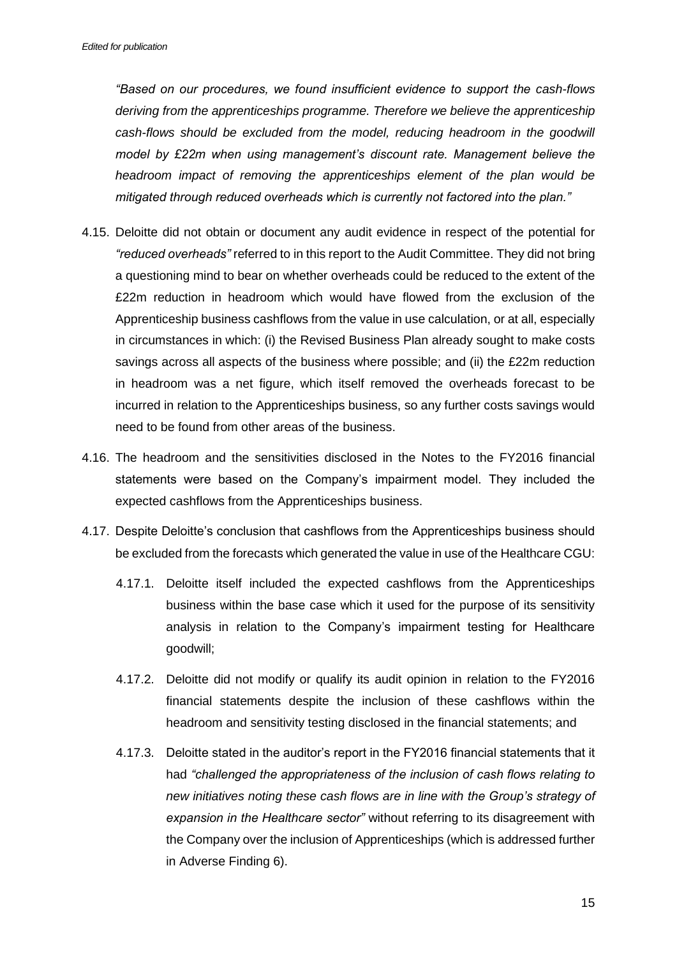*"Based on our procedures, we found insufficient evidence to support the cash-flows deriving from the apprenticeships programme. Therefore we believe the apprenticeship cash-flows should be excluded from the model, reducing headroom in the goodwill model by £22m when using management's discount rate. Management believe the headroom impact of removing the apprenticeships element of the plan would be mitigated through reduced overheads which is currently not factored into the plan."*

- 4.15. Deloitte did not obtain or document any audit evidence in respect of the potential for *"reduced overheads"* referred to in this report to the Audit Committee. They did not bring a questioning mind to bear on whether overheads could be reduced to the extent of the £22m reduction in headroom which would have flowed from the exclusion of the Apprenticeship business cashflows from the value in use calculation, or at all, especially in circumstances in which: (i) the Revised Business Plan already sought to make costs savings across all aspects of the business where possible; and (ii) the £22m reduction in headroom was a net figure, which itself removed the overheads forecast to be incurred in relation to the Apprenticeships business, so any further costs savings would need to be found from other areas of the business.
- 4.16. The headroom and the sensitivities disclosed in the Notes to the FY2016 financial statements were based on the Company's impairment model. They included the expected cashflows from the Apprenticeships business.
- 4.17. Despite Deloitte's conclusion that cashflows from the Apprenticeships business should be excluded from the forecasts which generated the value in use of the Healthcare CGU:
	- 4.17.1. Deloitte itself included the expected cashflows from the Apprenticeships business within the base case which it used for the purpose of its sensitivity analysis in relation to the Company's impairment testing for Healthcare goodwill;
	- 4.17.2. Deloitte did not modify or qualify its audit opinion in relation to the FY2016 financial statements despite the inclusion of these cashflows within the headroom and sensitivity testing disclosed in the financial statements; and
	- 4.17.3. Deloitte stated in the auditor's report in the FY2016 financial statements that it had *"challenged the appropriateness of the inclusion of cash flows relating to new initiatives noting these cash flows are in line with the Group's strategy of expansion in the Healthcare sector"* without referring to its disagreement with the Company over the inclusion of Apprenticeships (which is addressed further in Adverse Finding 6).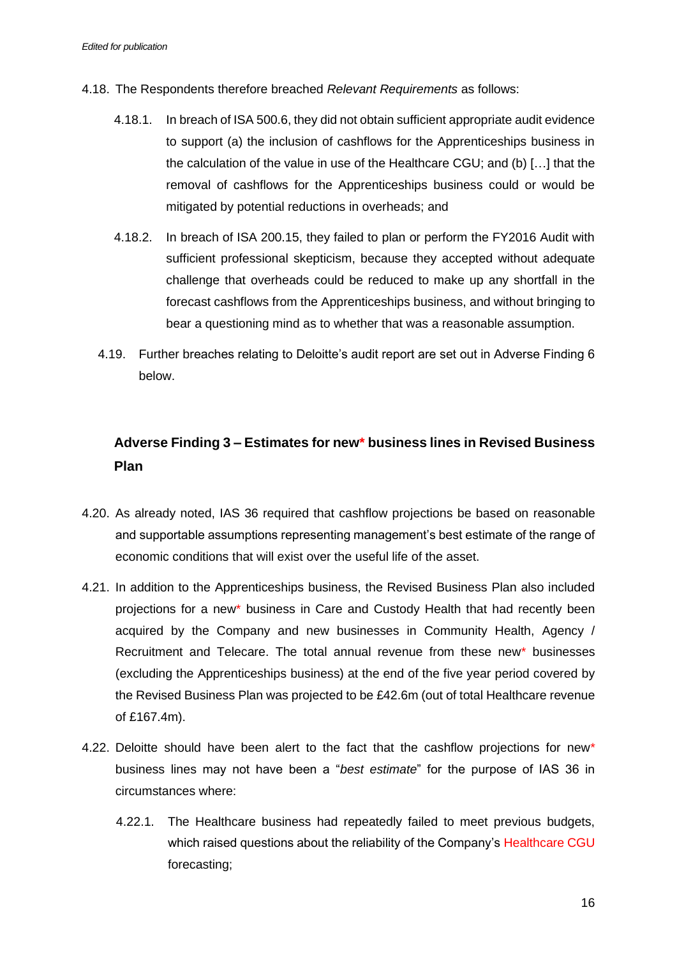- 4.18. The Respondents therefore breached *Relevant Requirements* as follows:
	- 4.18.1. In breach of ISA 500.6, they did not obtain sufficient appropriate audit evidence to support (a) the inclusion of cashflows for the Apprenticeships business in the calculation of the value in use of the Healthcare CGU; and (b) […] that the removal of cashflows for the Apprenticeships business could or would be mitigated by potential reductions in overheads; and
	- 4.18.2. In breach of ISA 200.15, they failed to plan or perform the FY2016 Audit with sufficient professional skepticism, because they accepted without adequate challenge that overheads could be reduced to make up any shortfall in the forecast cashflows from the Apprenticeships business, and without bringing to bear a questioning mind as to whether that was a reasonable assumption.
	- 4.19. Further breaches relating to Deloitte's audit report are set out in Adverse Finding 6 below.

# **Adverse Finding 3 – Estimates for new\* business lines in Revised Business Plan**

- 4.20. As already noted, IAS 36 required that cashflow projections be based on reasonable and supportable assumptions representing management's best estimate of the range of economic conditions that will exist over the useful life of the asset.
- 4.21. In addition to the Apprenticeships business, the Revised Business Plan also included projections for a new\* business in Care and Custody Health that had recently been acquired by the Company and new businesses in Community Health, Agency / Recruitment and Telecare. The total annual revenue from these new\* businesses (excluding the Apprenticeships business) at the end of the five year period covered by the Revised Business Plan was projected to be £42.6m (out of total Healthcare revenue of £167.4m).
- 4.22. Deloitte should have been alert to the fact that the cashflow projections for new\* business lines may not have been a "*best estimate*" for the purpose of IAS 36 in circumstances where:
	- 4.22.1. The Healthcare business had repeatedly failed to meet previous budgets, which raised questions about the reliability of the Company's Healthcare CGU forecasting;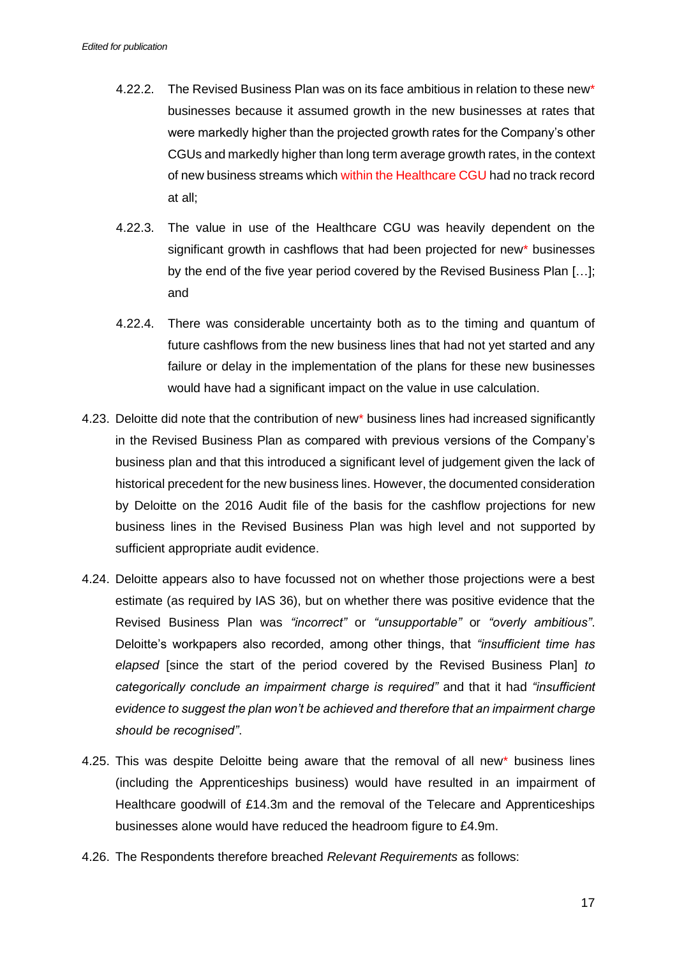- 4.22.2. The Revised Business Plan was on its face ambitious in relation to these new\* businesses because it assumed growth in the new businesses at rates that were markedly higher than the projected growth rates for the Company's other CGUs and markedly higher than long term average growth rates, in the context of new business streams which within the Healthcare CGU had no track record at all;
- 4.22.3. The value in use of the Healthcare CGU was heavily dependent on the significant growth in cashflows that had been projected for new\* businesses by the end of the five year period covered by the Revised Business Plan […]; and
- 4.22.4. There was considerable uncertainty both as to the timing and quantum of future cashflows from the new business lines that had not yet started and any failure or delay in the implementation of the plans for these new businesses would have had a significant impact on the value in use calculation.
- 4.23. Deloitte did note that the contribution of new\* business lines had increased significantly in the Revised Business Plan as compared with previous versions of the Company's business plan and that this introduced a significant level of judgement given the lack of historical precedent for the new business lines. However, the documented consideration by Deloitte on the 2016 Audit file of the basis for the cashflow projections for new business lines in the Revised Business Plan was high level and not supported by sufficient appropriate audit evidence.
- 4.24. Deloitte appears also to have focussed not on whether those projections were a best estimate (as required by IAS 36), but on whether there was positive evidence that the Revised Business Plan was *"incorrect"* or *"unsupportable"* or *"overly ambitious"*. Deloitte's workpapers also recorded, among other things, that *"insufficient time has elapsed* [since the start of the period covered by the Revised Business Plan] *to categorically conclude an impairment charge is required"* and that it had *"insufficient evidence to suggest the plan won't be achieved and therefore that an impairment charge should be recognised"*.
- 4.25. This was despite Deloitte being aware that the removal of all new\* business lines (including the Apprenticeships business) would have resulted in an impairment of Healthcare goodwill of £14.3m and the removal of the Telecare and Apprenticeships businesses alone would have reduced the headroom figure to £4.9m.
- 4.26. The Respondents therefore breached *Relevant Requirements* as follows: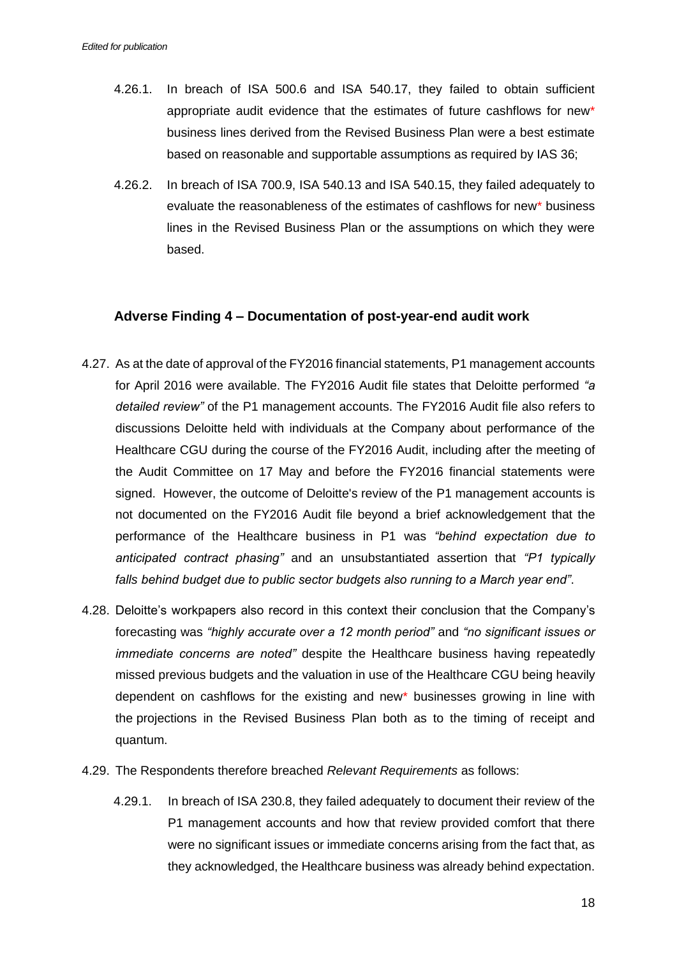- 4.26.1. In breach of ISA 500.6 and ISA 540.17, they failed to obtain sufficient appropriate audit evidence that the estimates of future cashflows for new\* business lines derived from the Revised Business Plan were a best estimate based on reasonable and supportable assumptions as required by IAS 36;
- 4.26.2. In breach of ISA 700.9, ISA 540.13 and ISA 540.15, they failed adequately to evaluate the reasonableness of the estimates of cashflows for new\* business lines in the Revised Business Plan or the assumptions on which they were based.

### **Adverse Finding 4 – Documentation of post-year-end audit work**

- 4.27. As at the date of approval of the FY2016 financial statements, P1 management accounts for April 2016 were available. The FY2016 Audit file states that Deloitte performed *"a detailed review"* of the P1 management accounts. The FY2016 Audit file also refers to discussions Deloitte held with individuals at the Company about performance of the Healthcare CGU during the course of the FY2016 Audit, including after the meeting of the Audit Committee on 17 May and before the FY2016 financial statements were signed. However, the outcome of Deloitte's review of the P1 management accounts is not documented on the FY2016 Audit file beyond a brief acknowledgement that the performance of the Healthcare business in P1 was *"behind expectation due to anticipated contract phasing"* and an unsubstantiated assertion that *"P1 typically falls behind budget due to public sector budgets also running to a March year end"*.
- 4.28. Deloitte's workpapers also record in this context their conclusion that the Company's forecasting was *"highly accurate over a 12 month period"* and *"no significant issues or immediate concerns are noted"* despite the Healthcare business having repeatedly missed previous budgets and the valuation in use of the Healthcare CGU being heavily dependent on cashflows for the existing and new\* businesses growing in line with the projections in the Revised Business Plan both as to the timing of receipt and quantum.
- 4.29. The Respondents therefore breached *Relevant Requirements* as follows:
	- 4.29.1. In breach of ISA 230.8, they failed adequately to document their review of the P1 management accounts and how that review provided comfort that there were no significant issues or immediate concerns arising from the fact that, as they acknowledged, the Healthcare business was already behind expectation.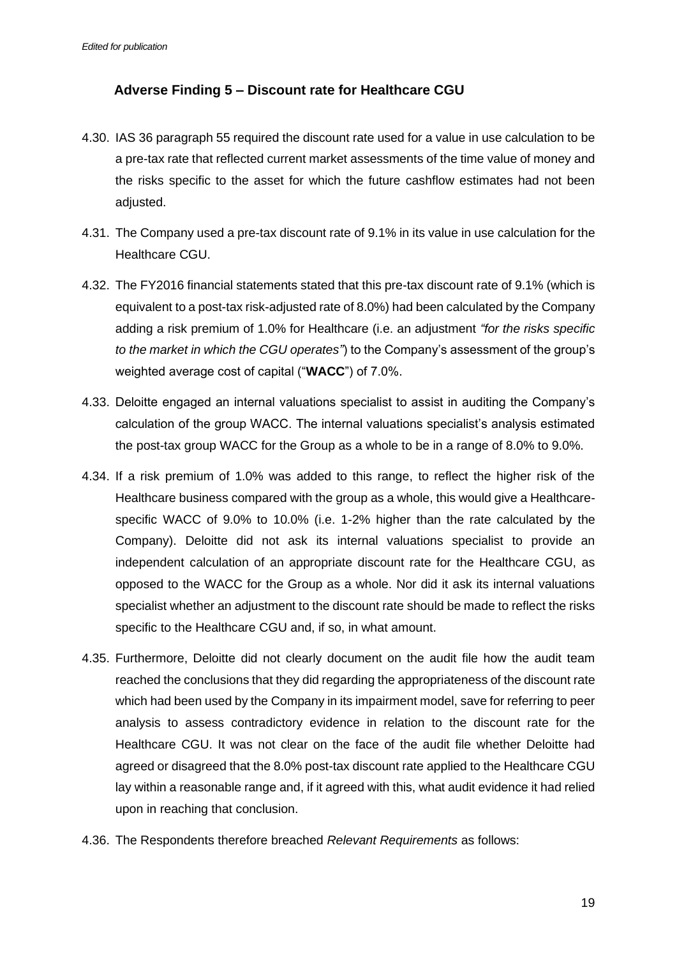# **Adverse Finding 5 – Discount rate for Healthcare CGU**

- 4.30. IAS 36 paragraph 55 required the discount rate used for a value in use calculation to be a pre-tax rate that reflected current market assessments of the time value of money and the risks specific to the asset for which the future cashflow estimates had not been adjusted.
- 4.31. The Company used a pre-tax discount rate of 9.1% in its value in use calculation for the Healthcare CGU.
- 4.32. The FY2016 financial statements stated that this pre-tax discount rate of 9.1% (which is equivalent to a post-tax risk-adjusted rate of 8.0%) had been calculated by the Company adding a risk premium of 1.0% for Healthcare (i.e. an adjustment *"for the risks specific to the market in which the CGU operates"*) to the Company's assessment of the group's weighted average cost of capital ("**WACC**") of 7.0%.
- 4.33. Deloitte engaged an internal valuations specialist to assist in auditing the Company's calculation of the group WACC. The internal valuations specialist's analysis estimated the post-tax group WACC for the Group as a whole to be in a range of 8.0% to 9.0%.
- 4.34. If a risk premium of 1.0% was added to this range, to reflect the higher risk of the Healthcare business compared with the group as a whole, this would give a Healthcarespecific WACC of 9.0% to 10.0% (i.e. 1-2% higher than the rate calculated by the Company). Deloitte did not ask its internal valuations specialist to provide an independent calculation of an appropriate discount rate for the Healthcare CGU, as opposed to the WACC for the Group as a whole. Nor did it ask its internal valuations specialist whether an adjustment to the discount rate should be made to reflect the risks specific to the Healthcare CGU and, if so, in what amount.
- 4.35. Furthermore, Deloitte did not clearly document on the audit file how the audit team reached the conclusions that they did regarding the appropriateness of the discount rate which had been used by the Company in its impairment model, save for referring to peer analysis to assess contradictory evidence in relation to the discount rate for the Healthcare CGU. It was not clear on the face of the audit file whether Deloitte had agreed or disagreed that the 8.0% post-tax discount rate applied to the Healthcare CGU lay within a reasonable range and, if it agreed with this, what audit evidence it had relied upon in reaching that conclusion.
- 4.36. The Respondents therefore breached *Relevant Requirements* as follows: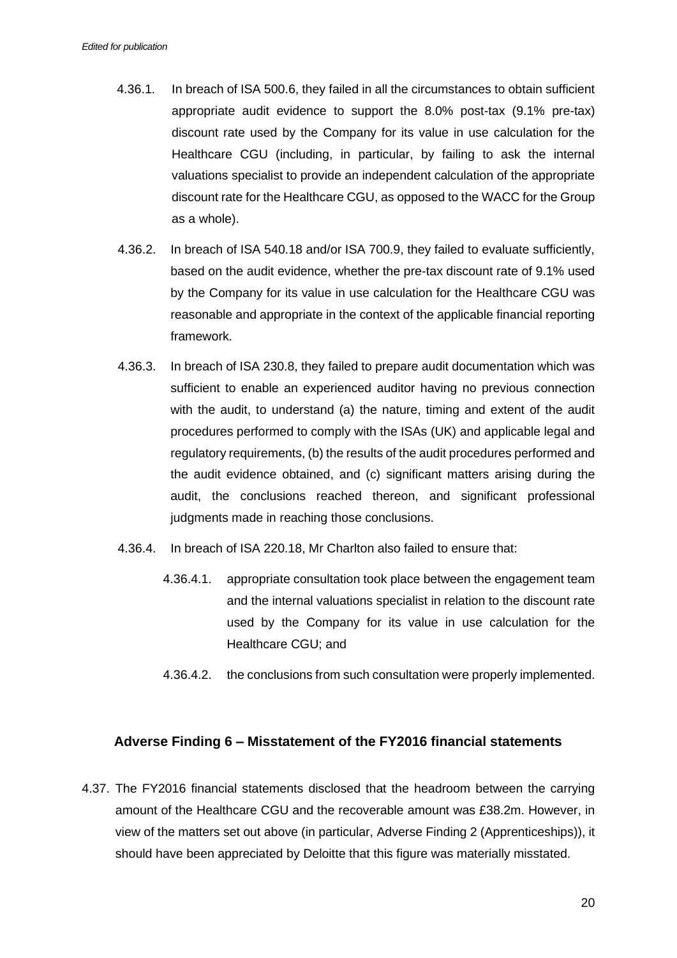- 4.36.1. In breach of ISA 500.6, they failed in all the circumstances to obtain sufficient appropriate audit evidence to support the 8.0% post-tax (9.1% pre-tax) discount rate used by the Company for its value in use calculation for the Healthcare CGU (including, in particular, by failing to ask the internal valuations specialist to provide an independent calculation of the appropriate discount rate for the Healthcare CGU, as opposed to the WACC for the Group as a whole).
- 4.36.2. In breach of ISA 540.18 and/or ISA 700.9, they failed to evaluate sufficiently, based on the audit evidence, whether the pre-tax discount rate of 9.1% used by the Company for its value in use calculation for the Healthcare CGU was reasonable and appropriate in the context of the applicable financial reporting framework.
- 4.36.3. In breach of ISA 230.8, they failed to prepare audit documentation which was sufficient to enable an experienced auditor having no previous connection with the audit, to understand (a) the nature, timing and extent of the audit procedures performed to comply with the ISAs (UK) and applicable legal and regulatory requirements, (b) the results of the audit procedures performed and the audit evidence obtained, and (c) significant matters arising during the audit, the conclusions reached thereon, and significant professional judgments made in reaching those conclusions.
- 4.36.4. In breach of ISA 220.18, Mr Charlton also failed to ensure that:
	- 4.36.4.1. appropriate consultation took place between the engagement team and the internal valuations specialist in relation to the discount rate used by the Company for its value in use calculation for the Healthcare CGU; and
	- 4.36.4.2. the conclusions from such consultation were properly implemented.

### **Adverse Finding 6 – Misstatement of the FY2016 financial statements**

4.37. The FY2016 financial statements disclosed that the headroom between the carrying amount of the Healthcare CGU and the recoverable amount was £38.2m. However, in view of the matters set out above (in particular, Adverse Finding 2 (Apprenticeships)), it should have been appreciated by Deloitte that this figure was materially misstated.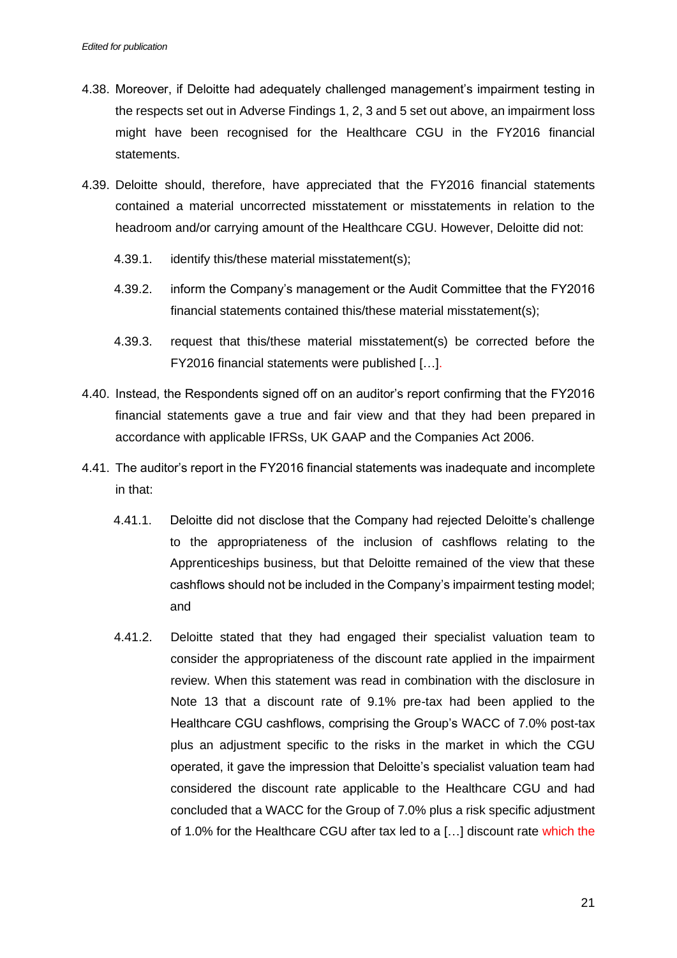- 4.38. Moreover, if Deloitte had adequately challenged management's impairment testing in the respects set out in Adverse Findings 1, 2, 3 and 5 set out above, an impairment loss might have been recognised for the Healthcare CGU in the FY2016 financial statements.
- 4.39. Deloitte should, therefore, have appreciated that the FY2016 financial statements contained a material uncorrected misstatement or misstatements in relation to the headroom and/or carrying amount of the Healthcare CGU. However, Deloitte did not:
	- 4.39.1. identify this/these material misstatement(s);
	- 4.39.2. inform the Company's management or the Audit Committee that the FY2016 financial statements contained this/these material misstatement(s);
	- 4.39.3. request that this/these material misstatement(s) be corrected before the FY2016 financial statements were published […].
- 4.40. Instead, the Respondents signed off on an auditor's report confirming that the FY2016 financial statements gave a true and fair view and that they had been prepared in accordance with applicable IFRSs, UK GAAP and the Companies Act 2006.
- 4.41. The auditor's report in the FY2016 financial statements was inadequate and incomplete in that:
	- 4.41.1. Deloitte did not disclose that the Company had rejected Deloitte's challenge to the appropriateness of the inclusion of cashflows relating to the Apprenticeships business, but that Deloitte remained of the view that these cashflows should not be included in the Company's impairment testing model; and
	- 4.41.2. Deloitte stated that they had engaged their specialist valuation team to consider the appropriateness of the discount rate applied in the impairment review. When this statement was read in combination with the disclosure in Note 13 that a discount rate of 9.1% pre-tax had been applied to the Healthcare CGU cashflows, comprising the Group's WACC of 7.0% post-tax plus an adjustment specific to the risks in the market in which the CGU operated, it gave the impression that Deloitte's specialist valuation team had considered the discount rate applicable to the Healthcare CGU and had concluded that a WACC for the Group of 7.0% plus a risk specific adjustment of 1.0% for the Healthcare CGU after tax led to a […] discount rate which the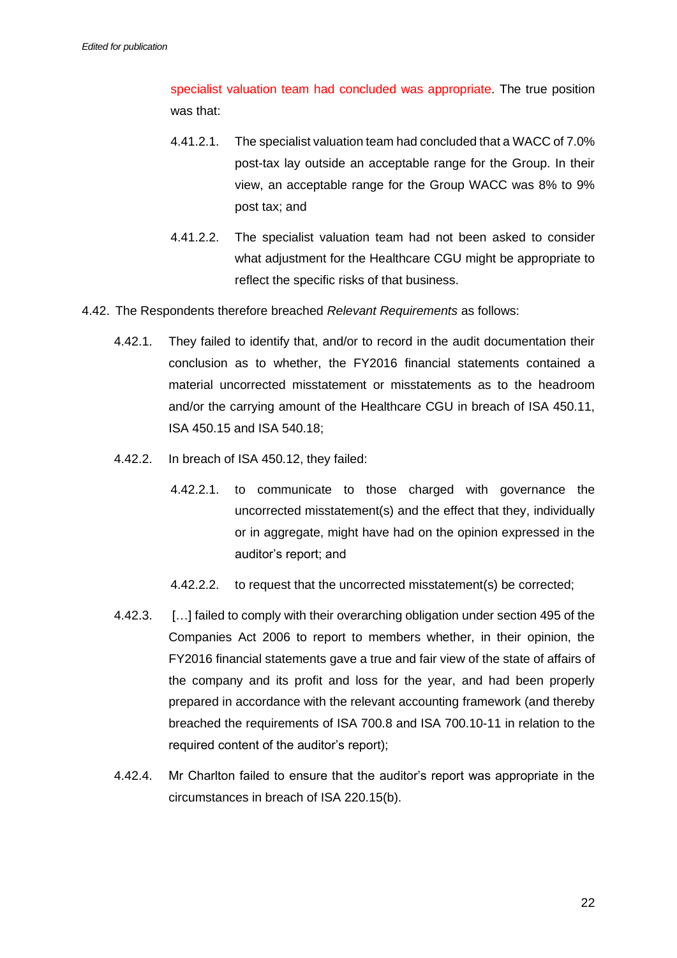specialist valuation team had concluded was appropriate. The true position was that:

- 4.41.2.1. The specialist valuation team had concluded that a WACC of 7.0% post-tax lay outside an acceptable range for the Group. In their view, an acceptable range for the Group WACC was 8% to 9% post tax; and
- 4.41.2.2. The specialist valuation team had not been asked to consider what adjustment for the Healthcare CGU might be appropriate to reflect the specific risks of that business.
- 4.42. The Respondents therefore breached *Relevant Requirements* as follows:
	- 4.42.1. They failed to identify that, and/or to record in the audit documentation their conclusion as to whether, the FY2016 financial statements contained a material uncorrected misstatement or misstatements as to the headroom and/or the carrying amount of the Healthcare CGU in breach of ISA 450.11, ISA 450.15 and ISA 540.18;
	- 4.42.2. In breach of ISA 450.12, they failed:
		- 4.42.2.1. to communicate to those charged with governance the uncorrected misstatement(s) and the effect that they, individually or in aggregate, might have had on the opinion expressed in the auditor's report; and
		- 4.42.2.2. to request that the uncorrected misstatement(s) be corrected;
	- 4.42.3. […] failed to comply with their overarching obligation under section 495 of the Companies Act 2006 to report to members whether, in their opinion, the FY2016 financial statements gave a true and fair view of the state of affairs of the company and its profit and loss for the year, and had been properly prepared in accordance with the relevant accounting framework (and thereby breached the requirements of ISA 700.8 and ISA 700.10-11 in relation to the required content of the auditor's report);
	- 4.42.4. Mr Charlton failed to ensure that the auditor's report was appropriate in the circumstances in breach of ISA 220.15(b).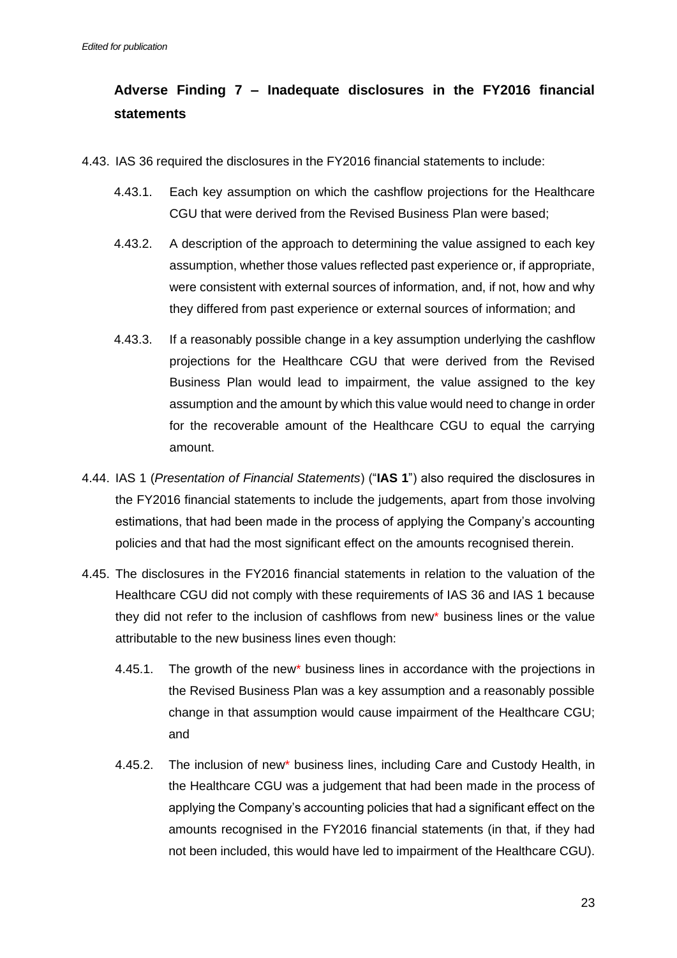# **Adverse Finding 7 – Inadequate disclosures in the FY2016 financial statements**

- 4.43. IAS 36 required the disclosures in the FY2016 financial statements to include:
	- 4.43.1. Each key assumption on which the cashflow projections for the Healthcare CGU that were derived from the Revised Business Plan were based;
	- 4.43.2. A description of the approach to determining the value assigned to each key assumption, whether those values reflected past experience or, if appropriate, were consistent with external sources of information, and, if not, how and why they differed from past experience or external sources of information; and
	- 4.43.3. If a reasonably possible change in a key assumption underlying the cashflow projections for the Healthcare CGU that were derived from the Revised Business Plan would lead to impairment, the value assigned to the key assumption and the amount by which this value would need to change in order for the recoverable amount of the Healthcare CGU to equal the carrying amount.
- 4.44. IAS 1 (*Presentation of Financial Statements*) ("**IAS 1**") also required the disclosures in the FY2016 financial statements to include the judgements, apart from those involving estimations, that had been made in the process of applying the Company's accounting policies and that had the most significant effect on the amounts recognised therein.
- 4.45. The disclosures in the FY2016 financial statements in relation to the valuation of the Healthcare CGU did not comply with these requirements of IAS 36 and IAS 1 because they did not refer to the inclusion of cashflows from new\* business lines or the value attributable to the new business lines even though:
	- 4.45.1. The growth of the new\* business lines in accordance with the projections in the Revised Business Plan was a key assumption and a reasonably possible change in that assumption would cause impairment of the Healthcare CGU; and
	- 4.45.2. The inclusion of new\* business lines, including Care and Custody Health, in the Healthcare CGU was a judgement that had been made in the process of applying the Company's accounting policies that had a significant effect on the amounts recognised in the FY2016 financial statements (in that, if they had not been included, this would have led to impairment of the Healthcare CGU).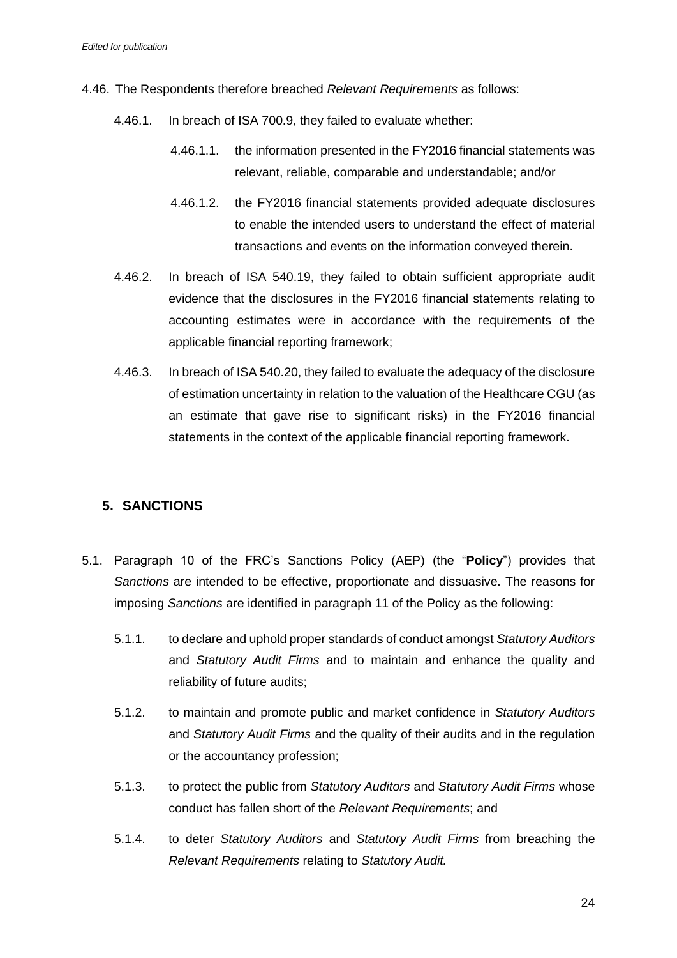- 4.46. The Respondents therefore breached *Relevant Requirements* as follows:
	- 4.46.1. In breach of ISA 700.9, they failed to evaluate whether:
		- 4.46.1.1. the information presented in the FY2016 financial statements was relevant, reliable, comparable and understandable; and/or
		- 4.46.1.2. the FY2016 financial statements provided adequate disclosures to enable the intended users to understand the effect of material transactions and events on the information conveyed therein.
	- 4.46.2. In breach of ISA 540.19, they failed to obtain sufficient appropriate audit evidence that the disclosures in the FY2016 financial statements relating to accounting estimates were in accordance with the requirements of the applicable financial reporting framework;
	- 4.46.3. In breach of ISA 540.20, they failed to evaluate the adequacy of the disclosure of estimation uncertainty in relation to the valuation of the Healthcare CGU (as an estimate that gave rise to significant risks) in the FY2016 financial statements in the context of the applicable financial reporting framework.

# **5. SANCTIONS**

- 5.1. Paragraph 10 of the FRC's Sanctions Policy (AEP) (the "**Policy**") provides that *Sanctions* are intended to be effective, proportionate and dissuasive. The reasons for imposing *Sanctions* are identified in paragraph 11 of the Policy as the following:
	- 5.1.1. to declare and uphold proper standards of conduct amongst *Statutory Auditors* and *Statutory Audit Firms* and to maintain and enhance the quality and reliability of future audits;
	- 5.1.2. to maintain and promote public and market confidence in *Statutory Auditors* and *Statutory Audit Firms* and the quality of their audits and in the regulation or the accountancy profession;
	- 5.1.3. to protect the public from *Statutory Auditors* and *Statutory Audit Firms* whose conduct has fallen short of the *Relevant Requirements*; and
	- 5.1.4. to deter *Statutory Auditors* and *Statutory Audit Firms* from breaching the *Relevant Requirements* relating to *Statutory Audit.*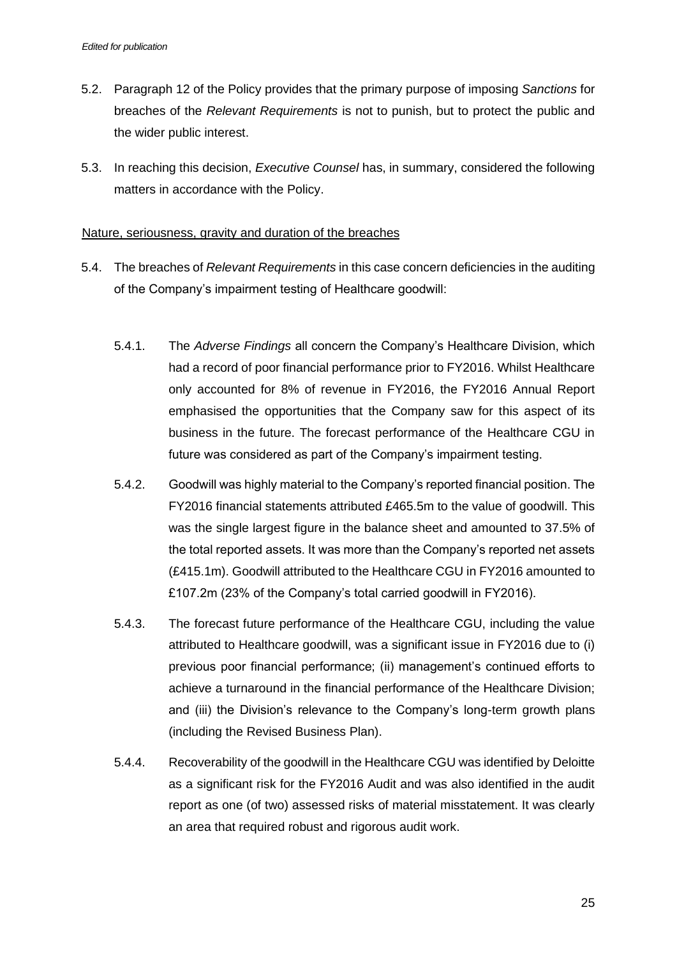- 5.2. Paragraph 12 of the Policy provides that the primary purpose of imposing *Sanctions* for breaches of the *Relevant Requirements* is not to punish, but to protect the public and the wider public interest.
- 5.3. In reaching this decision, *Executive Counsel* has, in summary, considered the following matters in accordance with the Policy.

### Nature, seriousness, gravity and duration of the breaches

- 5.4. The breaches of *Relevant Requirements* in this case concern deficiencies in the auditing of the Company's impairment testing of Healthcare goodwill:
	- 5.4.1. The *Adverse Findings* all concern the Company's Healthcare Division, which had a record of poor financial performance prior to FY2016. Whilst Healthcare only accounted for 8% of revenue in FY2016, the FY2016 Annual Report emphasised the opportunities that the Company saw for this aspect of its business in the future. The forecast performance of the Healthcare CGU in future was considered as part of the Company's impairment testing.
	- 5.4.2. Goodwill was highly material to the Company's reported financial position. The FY2016 financial statements attributed £465.5m to the value of goodwill. This was the single largest figure in the balance sheet and amounted to 37.5% of the total reported assets. It was more than the Company's reported net assets (£415.1m). Goodwill attributed to the Healthcare CGU in FY2016 amounted to £107.2m (23% of the Company's total carried goodwill in FY2016).
	- 5.4.3. The forecast future performance of the Healthcare CGU, including the value attributed to Healthcare goodwill, was a significant issue in FY2016 due to (i) previous poor financial performance; (ii) management's continued efforts to achieve a turnaround in the financial performance of the Healthcare Division; and (iii) the Division's relevance to the Company's long-term growth plans (including the Revised Business Plan).
	- 5.4.4. Recoverability of the goodwill in the Healthcare CGU was identified by Deloitte as a significant risk for the FY2016 Audit and was also identified in the audit report as one (of two) assessed risks of material misstatement. It was clearly an area that required robust and rigorous audit work.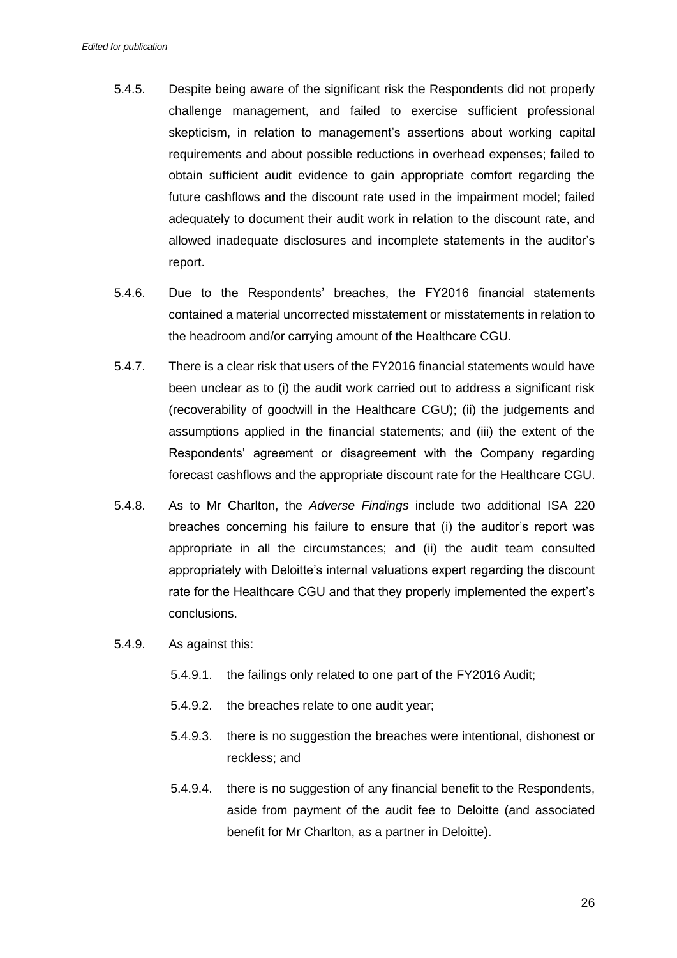- 5.4.5. Despite being aware of the significant risk the Respondents did not properly challenge management, and failed to exercise sufficient professional skepticism, in relation to management's assertions about working capital requirements and about possible reductions in overhead expenses; failed to obtain sufficient audit evidence to gain appropriate comfort regarding the future cashflows and the discount rate used in the impairment model; failed adequately to document their audit work in relation to the discount rate, and allowed inadequate disclosures and incomplete statements in the auditor's report.
- 5.4.6. Due to the Respondents' breaches, the FY2016 financial statements contained a material uncorrected misstatement or misstatements in relation to the headroom and/or carrying amount of the Healthcare CGU.
- 5.4.7. There is a clear risk that users of the FY2016 financial statements would have been unclear as to (i) the audit work carried out to address a significant risk (recoverability of goodwill in the Healthcare CGU); (ii) the judgements and assumptions applied in the financial statements; and (iii) the extent of the Respondents' agreement or disagreement with the Company regarding forecast cashflows and the appropriate discount rate for the Healthcare CGU.
- 5.4.8. As to Mr Charlton, the *Adverse Findings* include two additional ISA 220 breaches concerning his failure to ensure that (i) the auditor's report was appropriate in all the circumstances; and (ii) the audit team consulted appropriately with Deloitte's internal valuations expert regarding the discount rate for the Healthcare CGU and that they properly implemented the expert's conclusions.
- 5.4.9. As against this:
	- 5.4.9.1. the failings only related to one part of the FY2016 Audit;
	- 5.4.9.2. the breaches relate to one audit year;
	- 5.4.9.3. there is no suggestion the breaches were intentional, dishonest or reckless; and
	- 5.4.9.4. there is no suggestion of any financial benefit to the Respondents, aside from payment of the audit fee to Deloitte (and associated benefit for Mr Charlton, as a partner in Deloitte).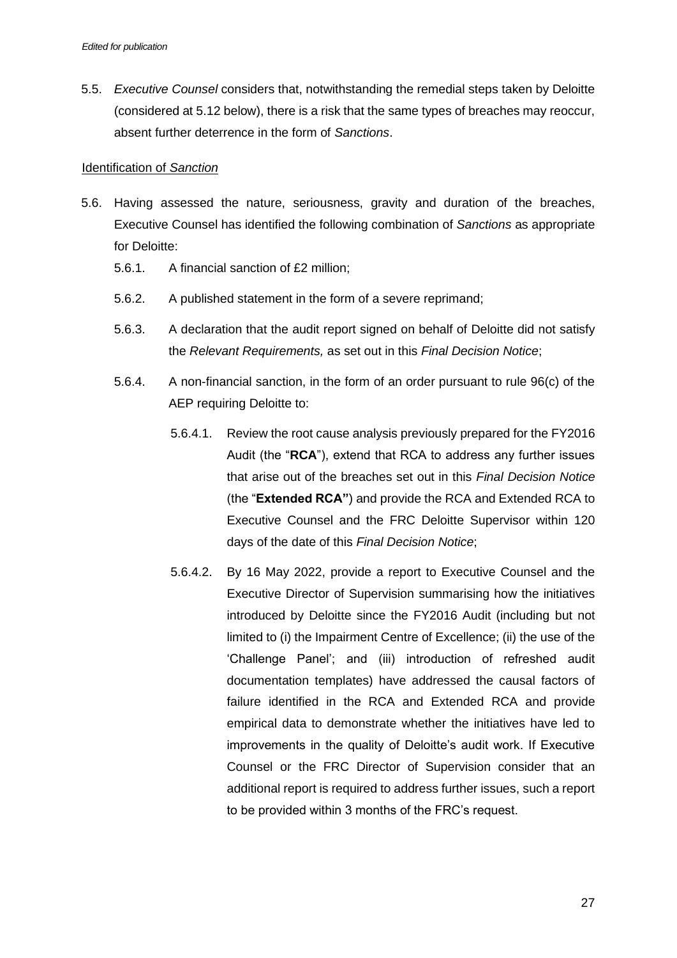5.5. *Executive Counsel* considers that, notwithstanding the remedial steps taken by Deloitte (considered at 5.12 below), there is a risk that the same types of breaches may reoccur, absent further deterrence in the form of *Sanctions*.

### Identification of *Sanction*

- 5.6. Having assessed the nature, seriousness, gravity and duration of the breaches, Executive Counsel has identified the following combination of *Sanctions* as appropriate for Deloitte:
	- 5.6.1. A financial sanction of £2 million;
	- 5.6.2. A published statement in the form of a severe reprimand;
	- 5.6.3. A declaration that the audit report signed on behalf of Deloitte did not satisfy the *Relevant Requirements,* as set out in this *Final Decision Notice*;
	- 5.6.4. A non-financial sanction, in the form of an order pursuant to rule 96(c) of the AEP requiring Deloitte to:
		- 5.6.4.1. Review the root cause analysis previously prepared for the FY2016 Audit (the "**RCA**"), extend that RCA to address any further issues that arise out of the breaches set out in this *Final Decision Notice* (the "**Extended RCA"**) and provide the RCA and Extended RCA to Executive Counsel and the FRC Deloitte Supervisor within 120 days of the date of this *Final Decision Notice*;
		- 5.6.4.2. By 16 May 2022, provide a report to Executive Counsel and the Executive Director of Supervision summarising how the initiatives introduced by Deloitte since the FY2016 Audit (including but not limited to (i) the Impairment Centre of Excellence; (ii) the use of the 'Challenge Panel'; and (iii) introduction of refreshed audit documentation templates) have addressed the causal factors of failure identified in the RCA and Extended RCA and provide empirical data to demonstrate whether the initiatives have led to improvements in the quality of Deloitte's audit work. If Executive Counsel or the FRC Director of Supervision consider that an additional report is required to address further issues, such a report to be provided within 3 months of the FRC's request.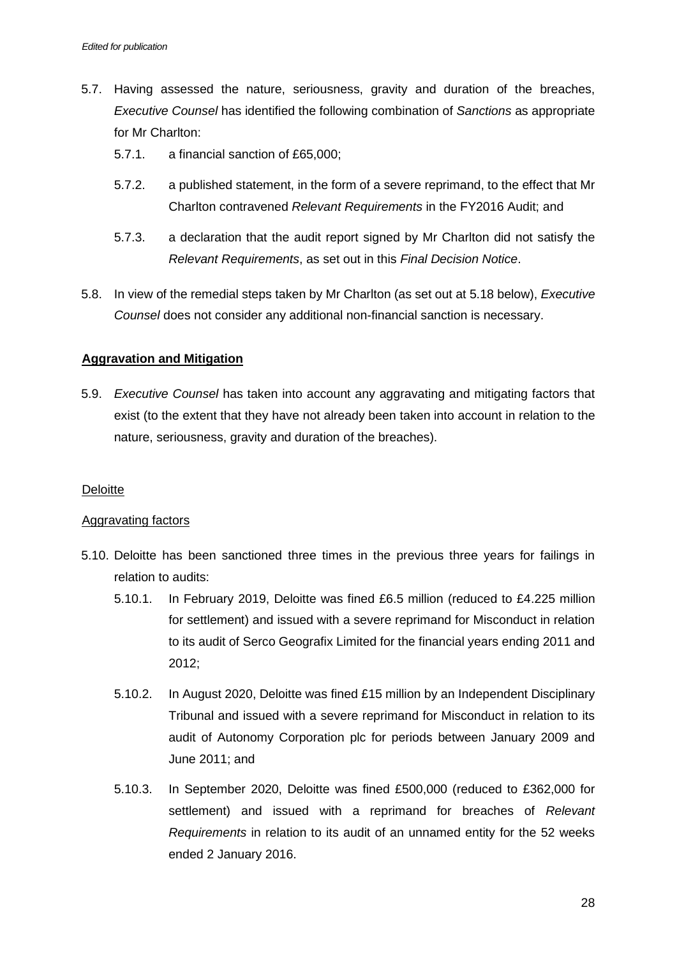- 5.7. Having assessed the nature, seriousness, gravity and duration of the breaches, *Executive Counsel* has identified the following combination of *Sanctions* as appropriate for Mr Charlton:
	- 5.7.1. a financial sanction of £65,000;
	- 5.7.2. a published statement, in the form of a severe reprimand, to the effect that Mr Charlton contravened *Relevant Requirements* in the FY2016 Audit; and
	- 5.7.3. a declaration that the audit report signed by Mr Charlton did not satisfy the *Relevant Requirements*, as set out in this *Final Decision Notice*.
- 5.8. In view of the remedial steps taken by Mr Charlton (as set out at 5.18 below), *Executive Counsel* does not consider any additional non-financial sanction is necessary.

### **Aggravation and Mitigation**

5.9. *Executive Counsel* has taken into account any aggravating and mitigating factors that exist (to the extent that they have not already been taken into account in relation to the nature, seriousness, gravity and duration of the breaches).

### **Deloitte**

### Aggravating factors

- 5.10. Deloitte has been sanctioned three times in the previous three years for failings in relation to audits:
	- 5.10.1. In February 2019, Deloitte was fined £6.5 million (reduced to £4.225 million for settlement) and issued with a severe reprimand for Misconduct in relation to its audit of Serco Geografix Limited for the financial years ending 2011 and 2012;
	- 5.10.2. In August 2020, Deloitte was fined £15 million by an Independent Disciplinary Tribunal and issued with a severe reprimand for Misconduct in relation to its audit of Autonomy Corporation plc for periods between January 2009 and June 2011; and
	- 5.10.3. In September 2020, Deloitte was fined £500,000 (reduced to £362,000 for settlement) and issued with a reprimand for breaches of *Relevant Requirements* in relation to its audit of an unnamed entity for the 52 weeks ended 2 January 2016.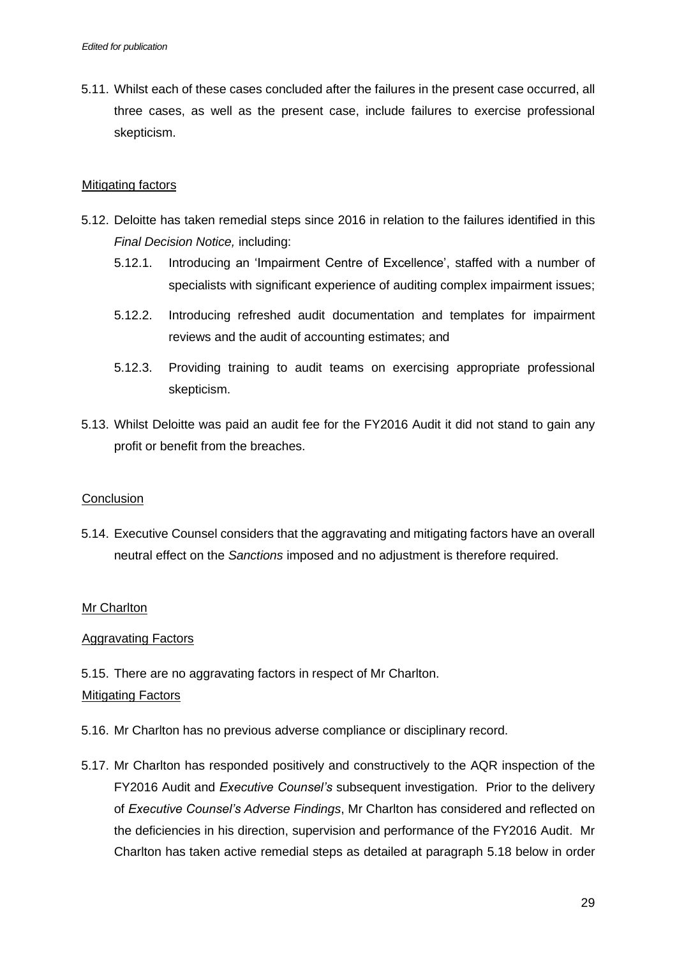5.11. Whilst each of these cases concluded after the failures in the present case occurred, all three cases, as well as the present case, include failures to exercise professional skepticism.

### Mitigating factors

- 5.12. Deloitte has taken remedial steps since 2016 in relation to the failures identified in this *Final Decision Notice,* including:
	- 5.12.1. Introducing an 'Impairment Centre of Excellence', staffed with a number of specialists with significant experience of auditing complex impairment issues;
	- 5.12.2. Introducing refreshed audit documentation and templates for impairment reviews and the audit of accounting estimates; and
	- 5.12.3. Providing training to audit teams on exercising appropriate professional skepticism.
- 5.13. Whilst Deloitte was paid an audit fee for the FY2016 Audit it did not stand to gain any profit or benefit from the breaches.

### **Conclusion**

5.14. Executive Counsel considers that the aggravating and mitigating factors have an overall neutral effect on the *Sanctions* imposed and no adjustment is therefore required.

### **Mr Charlton**

### Aggravating Factors

5.15. There are no aggravating factors in respect of Mr Charlton. Mitigating Factors

- 5.16. Mr Charlton has no previous adverse compliance or disciplinary record.
- 5.17. Mr Charlton has responded positively and constructively to the AQR inspection of the FY2016 Audit and *Executive Counsel's* subsequent investigation. Prior to the delivery of *Executive Counsel's Adverse Findings*, Mr Charlton has considered and reflected on the deficiencies in his direction, supervision and performance of the FY2016 Audit. Mr Charlton has taken active remedial steps as detailed at paragraph [5.18](#page-29-0) below in order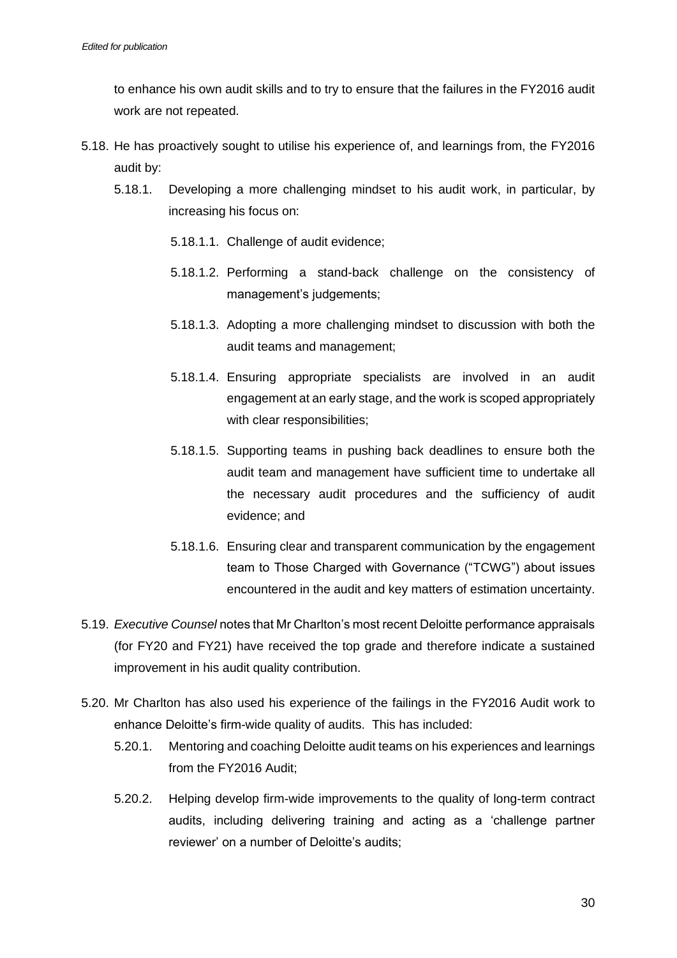to enhance his own audit skills and to try to ensure that the failures in the FY2016 audit work are not repeated.

- <span id="page-29-0"></span>5.18. He has proactively sought to utilise his experience of, and learnings from, the FY2016 audit by:
	- 5.18.1. Developing a more challenging mindset to his audit work, in particular, by increasing his focus on:
		- 5.18.1.1. Challenge of audit evidence;
		- 5.18.1.2. Performing a stand-back challenge on the consistency of management's judgements;
		- 5.18.1.3. Adopting a more challenging mindset to discussion with both the audit teams and management;
		- 5.18.1.4. Ensuring appropriate specialists are involved in an audit engagement at an early stage, and the work is scoped appropriately with clear responsibilities;
		- 5.18.1.5. Supporting teams in pushing back deadlines to ensure both the audit team and management have sufficient time to undertake all the necessary audit procedures and the sufficiency of audit evidence; and
		- 5.18.1.6. Ensuring clear and transparent communication by the engagement team to Those Charged with Governance ("TCWG") about issues encountered in the audit and key matters of estimation uncertainty.
- 5.19. *Executive Counsel* notes that Mr Charlton's most recent Deloitte performance appraisals (for FY20 and FY21) have received the top grade and therefore indicate a sustained improvement in his audit quality contribution.
- 5.20. Mr Charlton has also used his experience of the failings in the FY2016 Audit work to enhance Deloitte's firm-wide quality of audits. This has included:
	- 5.20.1. Mentoring and coaching Deloitte audit teams on his experiences and learnings from the FY2016 Audit;
	- 5.20.2. Helping develop firm-wide improvements to the quality of long-term contract audits, including delivering training and acting as a 'challenge partner reviewer' on a number of Deloitte's audits;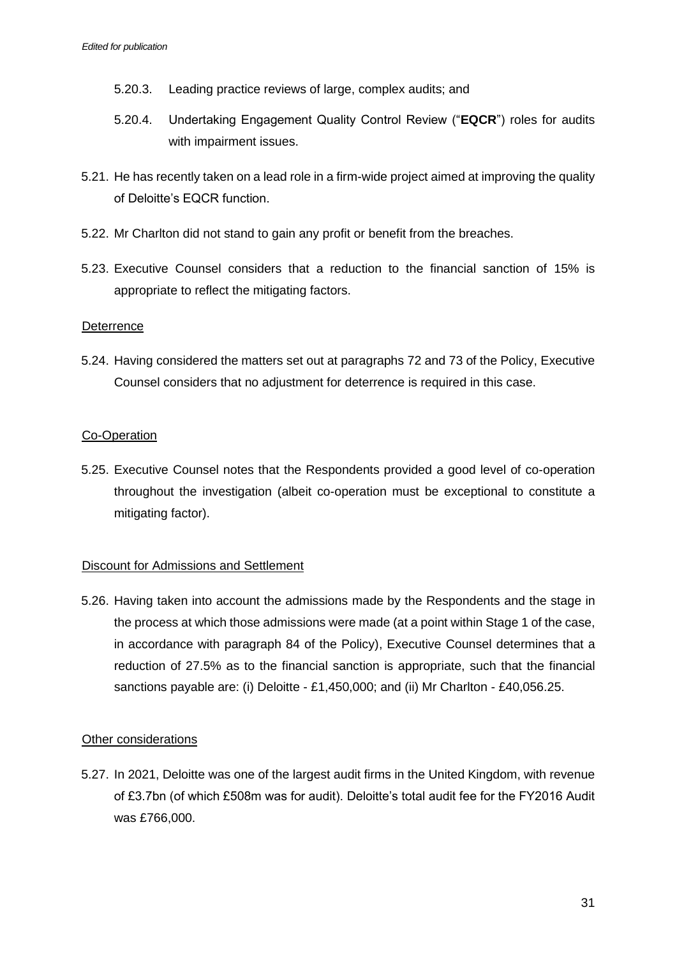- 5.20.3. Leading practice reviews of large, complex audits; and
- 5.20.4. Undertaking Engagement Quality Control Review ("**EQCR**") roles for audits with impairment issues.
- 5.21. He has recently taken on a lead role in a firm-wide project aimed at improving the quality of Deloitte's EQCR function.
- 5.22. Mr Charlton did not stand to gain any profit or benefit from the breaches.
- 5.23. Executive Counsel considers that a reduction to the financial sanction of 15% is appropriate to reflect the mitigating factors.

### **Deterrence**

5.24. Having considered the matters set out at paragraphs 72 and 73 of the Policy, Executive Counsel considers that no adjustment for deterrence is required in this case.

### Co-Operation

5.25. Executive Counsel notes that the Respondents provided a good level of co-operation throughout the investigation (albeit co-operation must be exceptional to constitute a mitigating factor).

### Discount for Admissions and Settlement

5.26. Having taken into account the admissions made by the Respondents and the stage in the process at which those admissions were made (at a point within Stage 1 of the case, in accordance with paragraph 84 of the Policy), Executive Counsel determines that a reduction of 27.5% as to the financial sanction is appropriate, such that the financial sanctions payable are: (i) Deloitte - £1,450,000; and (ii) Mr Charlton - £40,056.25.

### Other considerations

5.27. In 2021, Deloitte was one of the largest audit firms in the United Kingdom, with revenue of £3.7bn (of which £508m was for audit). Deloitte's total audit fee for the FY2016 Audit was £766,000.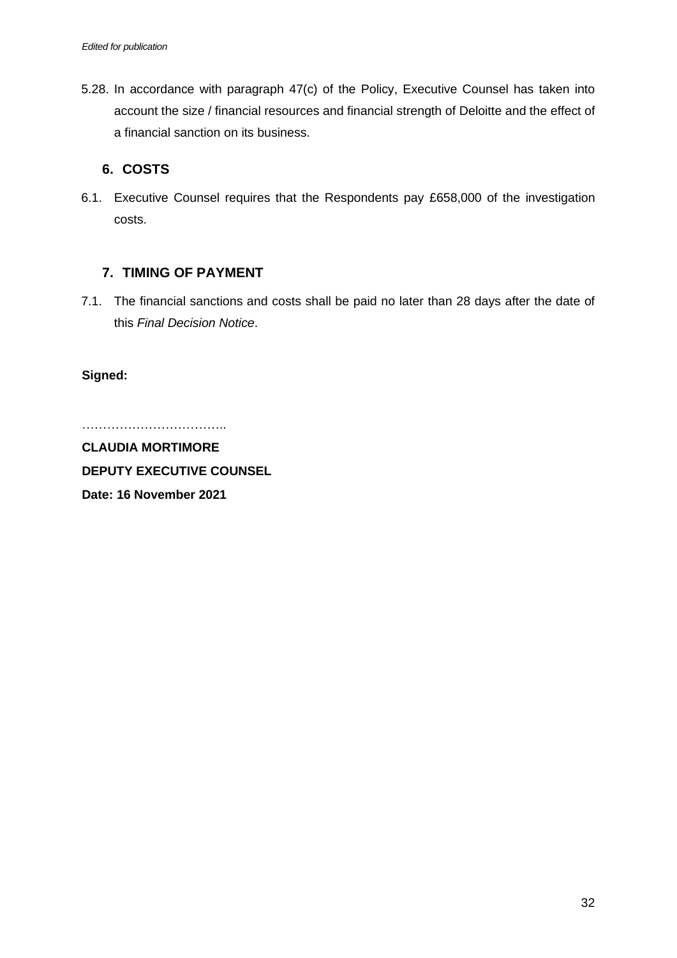5.28. In accordance with paragraph 47(c) of the Policy, Executive Counsel has taken into account the size / financial resources and financial strength of Deloitte and the effect of a financial sanction on its business.

# **6. COSTS**

6.1. Executive Counsel requires that the Respondents pay £658,000 of the investigation costs.

## **7. TIMING OF PAYMENT**

7.1. The financial sanctions and costs shall be paid no later than 28 days after the date of this *Final Decision Notice*.

**Signed:**

………………………………………

**CLAUDIA MORTIMORE DEPUTY EXECUTIVE COUNSEL Date: 16 November 2021**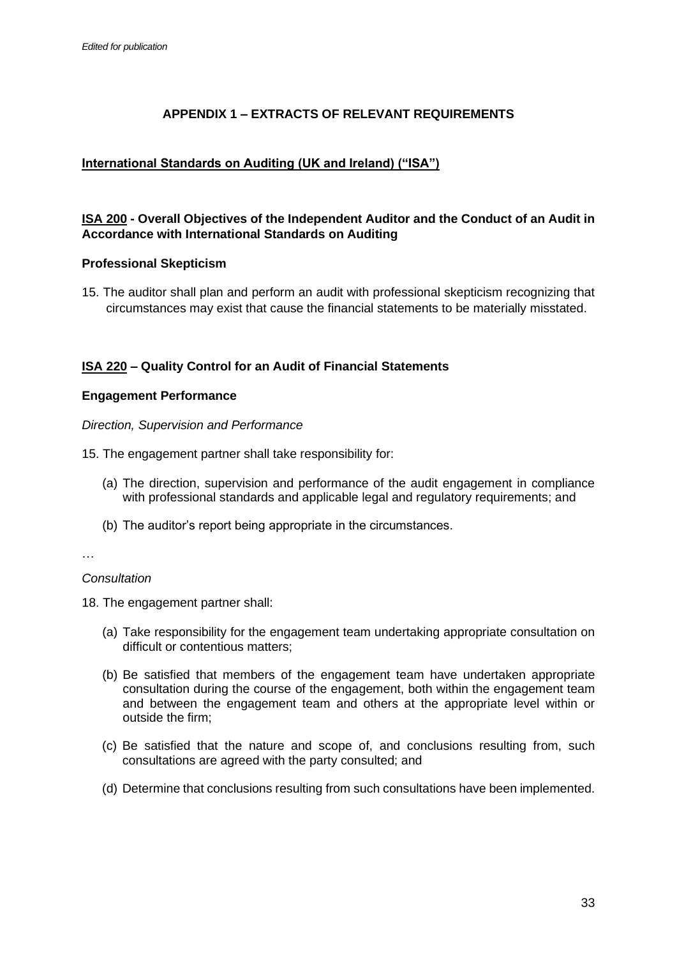# **APPENDIX 1 – EXTRACTS OF RELEVANT REQUIREMENTS**

## **International Standards on Auditing (UK and Ireland) ("ISA")**

### **ISA 200 - Overall Objectives of the Independent Auditor and the Conduct of an Audit in Accordance with International Standards on Auditing**

### **Professional Skepticism**

15. The auditor shall plan and perform an audit with professional skepticism recognizing that circumstances may exist that cause the financial statements to be materially misstated.

### **ISA 220 – Quality Control for an Audit of Financial Statements**

### **Engagement Performance**

*Direction, Supervision and Performance*

- 15. The engagement partner shall take responsibility for:
	- (a) The direction, supervision and performance of the audit engagement in compliance with professional standards and applicable legal and regulatory requirements; and
	- (b) The auditor's report being appropriate in the circumstances.

…

### *Consultation*

18. The engagement partner shall:

- (a) Take responsibility for the engagement team undertaking appropriate consultation on difficult or contentious matters;
- (b) Be satisfied that members of the engagement team have undertaken appropriate consultation during the course of the engagement, both within the engagement team and between the engagement team and others at the appropriate level within or outside the firm;
- (c) Be satisfied that the nature and scope of, and conclusions resulting from, such consultations are agreed with the party consulted; and
- (d) Determine that conclusions resulting from such consultations have been implemented.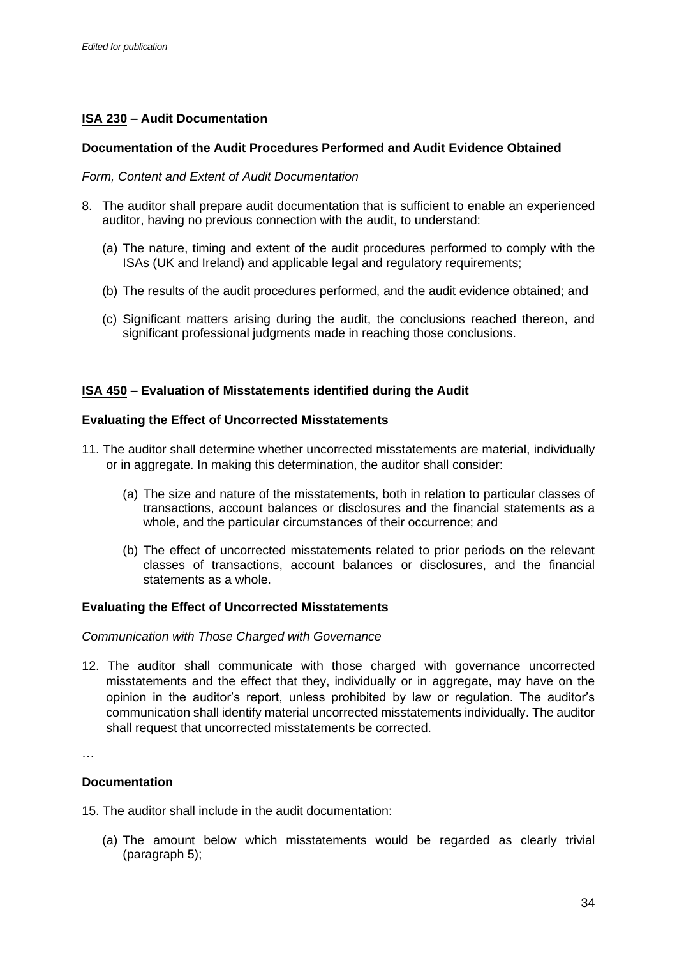## **ISA 230 – Audit Documentation**

### **Documentation of the Audit Procedures Performed and Audit Evidence Obtained**

### *Form, Content and Extent of Audit Documentation*

- 8. The auditor shall prepare audit documentation that is sufficient to enable an experienced auditor, having no previous connection with the audit, to understand:
	- (a) The nature, timing and extent of the audit procedures performed to comply with the ISAs (UK and Ireland) and applicable legal and regulatory requirements;
	- (b) The results of the audit procedures performed, and the audit evidence obtained; and
	- (c) Significant matters arising during the audit, the conclusions reached thereon, and significant professional judgments made in reaching those conclusions.

### **ISA 450 – Evaluation of Misstatements identified during the Audit**

### **Evaluating the Effect of Uncorrected Misstatements**

- 11. The auditor shall determine whether uncorrected misstatements are material, individually or in aggregate. In making this determination, the auditor shall consider:
	- (a) The size and nature of the misstatements, both in relation to particular classes of transactions, account balances or disclosures and the financial statements as a whole, and the particular circumstances of their occurrence; and
	- (b) The effect of uncorrected misstatements related to prior periods on the relevant classes of transactions, account balances or disclosures, and the financial statements as a whole.

### **Evaluating the Effect of Uncorrected Misstatements**

### *Communication with Those Charged with Governance*

12. The auditor shall communicate with those charged with governance uncorrected misstatements and the effect that they, individually or in aggregate, may have on the opinion in the auditor's report, unless prohibited by law or regulation. The auditor's communication shall identify material uncorrected misstatements individually. The auditor shall request that uncorrected misstatements be corrected.

…

### **Documentation**

15. The auditor shall include in the audit documentation:

(a) The amount below which misstatements would be regarded as clearly trivial (paragraph 5);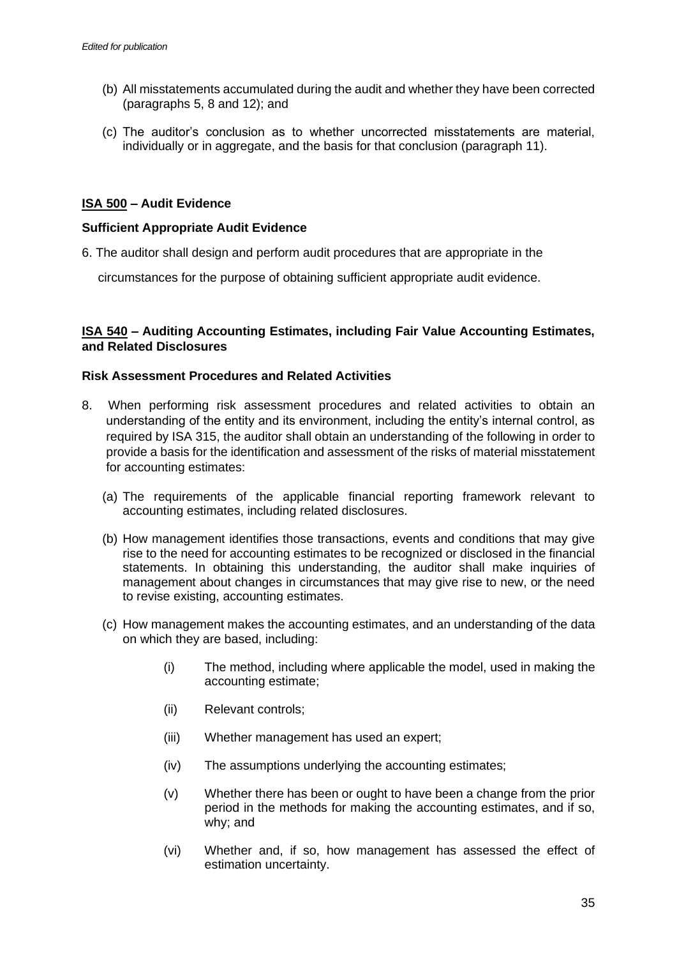- (b) All misstatements accumulated during the audit and whether they have been corrected (paragraphs 5, 8 and 12); and
- (c) The auditor's conclusion as to whether uncorrected misstatements are material, individually or in aggregate, and the basis for that conclusion (paragraph 11).

### **ISA 500 – Audit Evidence**

### **Sufficient Appropriate Audit Evidence**

6. The auditor shall design and perform audit procedures that are appropriate in the

circumstances for the purpose of obtaining sufficient appropriate audit evidence.

### **ISA 540 – Auditing Accounting Estimates, including Fair Value Accounting Estimates, and Related Disclosures**

### **Risk Assessment Procedures and Related Activities**

- 8. When performing risk assessment procedures and related activities to obtain an understanding of the entity and its environment, including the entity's internal control, as required by ISA 315, the auditor shall obtain an understanding of the following in order to provide a basis for the identification and assessment of the risks of material misstatement for accounting estimates:
	- (a) The requirements of the applicable financial reporting framework relevant to accounting estimates, including related disclosures.
	- (b) How management identifies those transactions, events and conditions that may give rise to the need for accounting estimates to be recognized or disclosed in the financial statements. In obtaining this understanding, the auditor shall make inquiries of management about changes in circumstances that may give rise to new, or the need to revise existing, accounting estimates.
	- (c) How management makes the accounting estimates, and an understanding of the data on which they are based, including:
		- (i) The method, including where applicable the model, used in making the accounting estimate;
		- (ii) Relevant controls;
		- (iii) Whether management has used an expert;
		- (iv) The assumptions underlying the accounting estimates;
		- (v) Whether there has been or ought to have been a change from the prior period in the methods for making the accounting estimates, and if so, why; and
		- (vi) Whether and, if so, how management has assessed the effect of estimation uncertainty.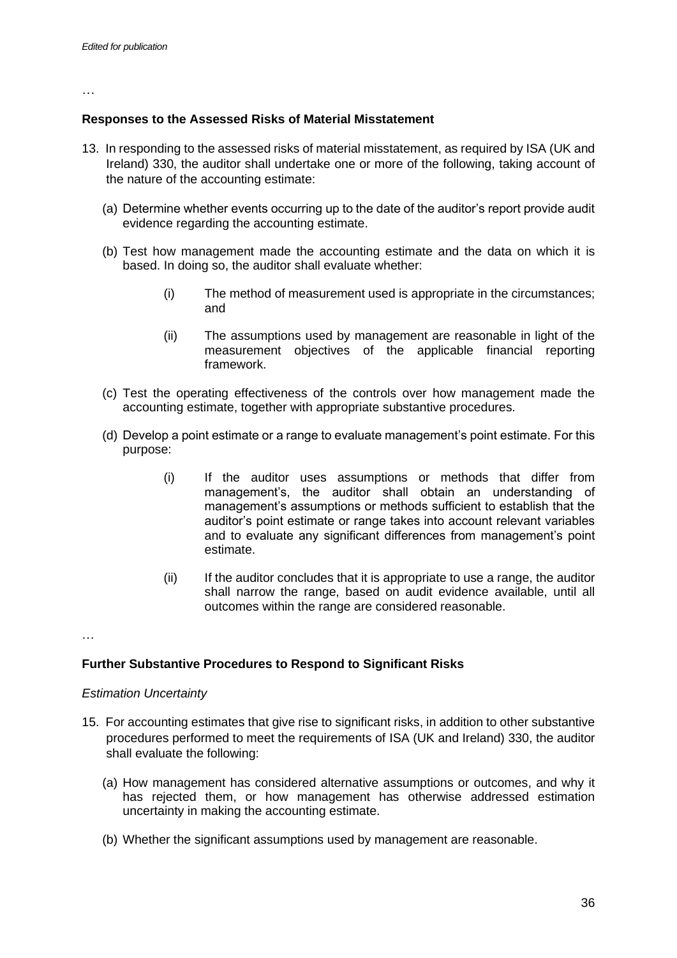…

### **Responses to the Assessed Risks of Material Misstatement**

- 13. In responding to the assessed risks of material misstatement, as required by ISA (UK and Ireland) 330, the auditor shall undertake one or more of the following, taking account of the nature of the accounting estimate:
	- (a) Determine whether events occurring up to the date of the auditor's report provide audit evidence regarding the accounting estimate.
	- (b) Test how management made the accounting estimate and the data on which it is based. In doing so, the auditor shall evaluate whether:
		- (i) The method of measurement used is appropriate in the circumstances; and
		- (ii) The assumptions used by management are reasonable in light of the measurement objectives of the applicable financial reporting framework.
	- (c) Test the operating effectiveness of the controls over how management made the accounting estimate, together with appropriate substantive procedures.
	- (d) Develop a point estimate or a range to evaluate management's point estimate. For this purpose:
		- (i) If the auditor uses assumptions or methods that differ from management's, the auditor shall obtain an understanding of management's assumptions or methods sufficient to establish that the auditor's point estimate or range takes into account relevant variables and to evaluate any significant differences from management's point estimate.
		- (ii) If the auditor concludes that it is appropriate to use a range, the auditor shall narrow the range, based on audit evidence available, until all outcomes within the range are considered reasonable.

…

### **Further Substantive Procedures to Respond to Significant Risks**

### *Estimation Uncertainty*

- 15. For accounting estimates that give rise to significant risks, in addition to other substantive procedures performed to meet the requirements of ISA (UK and Ireland) 330, the auditor shall evaluate the following:
	- (a) How management has considered alternative assumptions or outcomes, and why it has rejected them, or how management has otherwise addressed estimation uncertainty in making the accounting estimate.
	- (b) Whether the significant assumptions used by management are reasonable.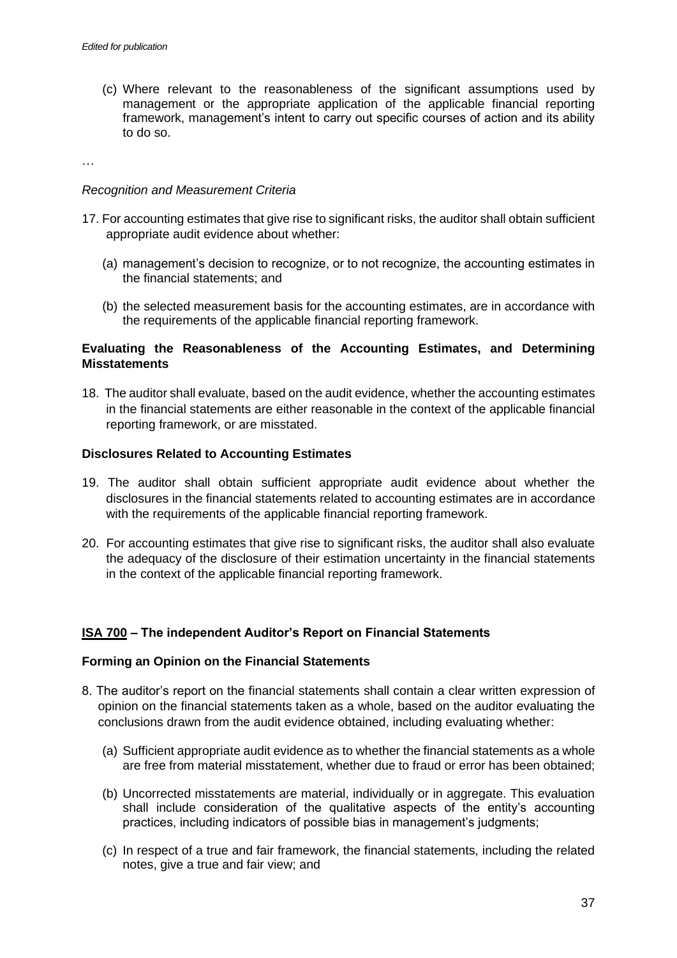(c) Where relevant to the reasonableness of the significant assumptions used by management or the appropriate application of the applicable financial reporting framework, management's intent to carry out specific courses of action and its ability to do so.

…

### *Recognition and Measurement Criteria*

- 17. For accounting estimates that give rise to significant risks, the auditor shall obtain sufficient appropriate audit evidence about whether:
	- (a) management's decision to recognize, or to not recognize, the accounting estimates in the financial statements; and
	- (b) the selected measurement basis for the accounting estimates, are in accordance with the requirements of the applicable financial reporting framework.

### **Evaluating the Reasonableness of the Accounting Estimates, and Determining Misstatements**

18. The auditor shall evaluate, based on the audit evidence, whether the accounting estimates in the financial statements are either reasonable in the context of the applicable financial reporting framework, or are misstated.

### **Disclosures Related to Accounting Estimates**

- 19. The auditor shall obtain sufficient appropriate audit evidence about whether the disclosures in the financial statements related to accounting estimates are in accordance with the requirements of the applicable financial reporting framework.
- 20. For accounting estimates that give rise to significant risks, the auditor shall also evaluate the adequacy of the disclosure of their estimation uncertainty in the financial statements in the context of the applicable financial reporting framework.

### **ISA 700 – The independent Auditor's Report on Financial Statements**

### **Forming an Opinion on the Financial Statements**

- 8. The auditor's report on the financial statements shall contain a clear written expression of opinion on the financial statements taken as a whole, based on the auditor evaluating the conclusions drawn from the audit evidence obtained, including evaluating whether:
	- (a) Sufficient appropriate audit evidence as to whether the financial statements as a whole are free from material misstatement, whether due to fraud or error has been obtained;
	- (b) Uncorrected misstatements are material, individually or in aggregate. This evaluation shall include consideration of the qualitative aspects of the entity's accounting practices, including indicators of possible bias in management's judgments;
	- (c) In respect of a true and fair framework, the financial statements, including the related notes, give a true and fair view; and